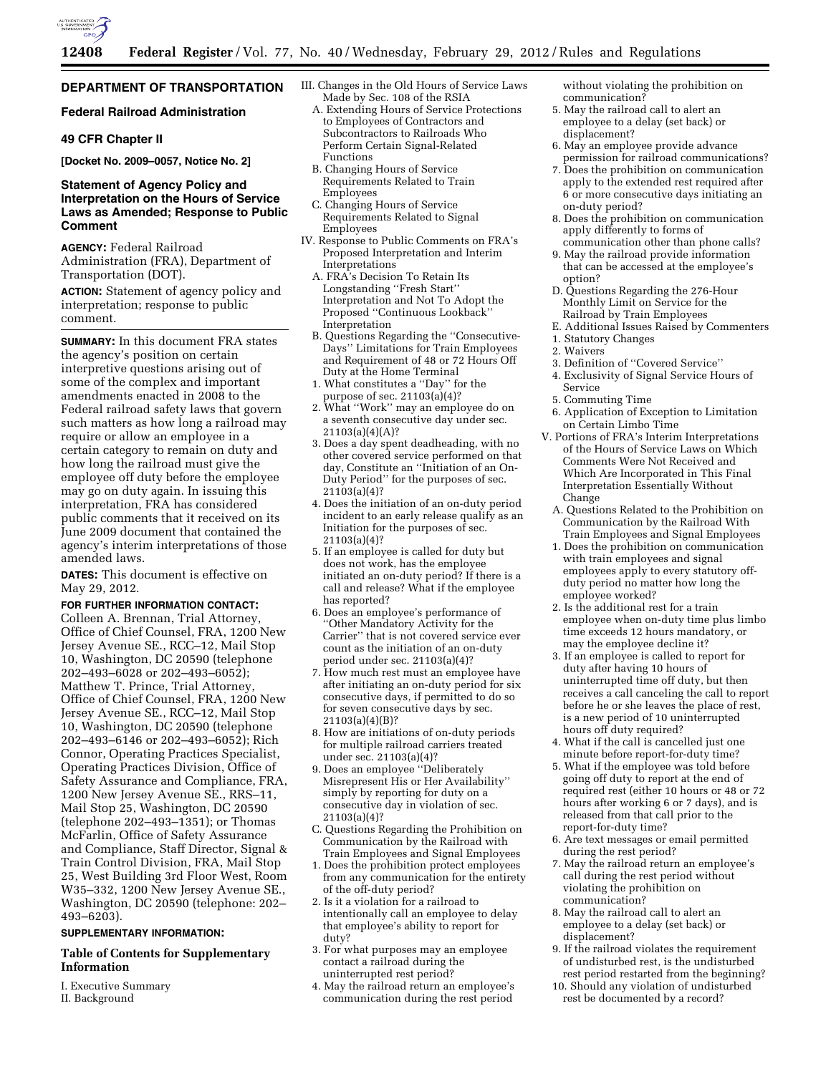

# **DEPARTMENT OF TRANSPORTATION**

#### **Federal Railroad Administration**

# **49 CFR Chapter II**

**[Docket No. 2009–0057, Notice No. 2]** 

## **Statement of Agency Policy and Interpretation on the Hours of Service Laws as Amended; Response to Public Comment**

**AGENCY:** Federal Railroad Administration (FRA), Department of Transportation (DOT).

**ACTION:** Statement of agency policy and interpretation; response to public comment.

**SUMMARY:** In this document FRA states the agency's position on certain interpretive questions arising out of some of the complex and important amendments enacted in 2008 to the Federal railroad safety laws that govern such matters as how long a railroad may require or allow an employee in a certain category to remain on duty and how long the railroad must give the employee off duty before the employee may go on duty again. In issuing this interpretation, FRA has considered public comments that it received on its June 2009 document that contained the agency's interim interpretations of those amended laws.

**DATES:** This document is effective on May 29, 2012.

# **FOR FURTHER INFORMATION CONTACT:**

Colleen A. Brennan, Trial Attorney, Office of Chief Counsel, FRA, 1200 New Jersey Avenue SE., RCC–12, Mail Stop 10, Washington, DC 20590 (telephone 202–493–6028 or 202–493–6052); Matthew T. Prince, Trial Attorney, Office of Chief Counsel, FRA, 1200 New Jersey Avenue SE., RCC–12, Mail Stop 10, Washington, DC 20590 (telephone 202–493–6146 or 202–493–6052); Rich Connor, Operating Practices Specialist, Operating Practices Division, Office of Safety Assurance and Compliance, FRA, 1200 New Jersey Avenue SE., RRS–11, Mail Stop 25, Washington, DC 20590 (telephone 202–493–1351); or Thomas McFarlin, Office of Safety Assurance and Compliance, Staff Director, Signal & Train Control Division, FRA, Mail Stop 25, West Building 3rd Floor West, Room W35–332, 1200 New Jersey Avenue SE., Washington, DC 20590 (telephone: 202– 493–6203).

## **SUPPLEMENTARY INFORMATION:**

# **Table of Contents for Supplementary Information**

I. Executive Summary II. Background

- III. Changes in the Old Hours of Service Laws Made by Sec. 108 of the RSIA
	- A. Extending Hours of Service Protections to Employees of Contractors and Subcontractors to Railroads Who Perform Certain Signal-Related Functions
	- B. Changing Hours of Service Requirements Related to Train Employees
	- C. Changing Hours of Service Requirements Related to Signal Employees
- IV. Response to Public Comments on FRA's Proposed Interpretation and Interim Interpretations
	- A. FRA's Decision To Retain Its Longstanding ''Fresh Start'' Interpretation and Not To Adopt the Proposed ''Continuous Lookback'' Interpretation
	- B. Questions Regarding the ''Consecutive-Days'' Limitations for Train Employees and Requirement of 48 or 72 Hours Off Duty at the Home Terminal
	- 1. What constitutes a ''Day'' for the purpose of sec. 21103(a)(4)?
	- 2. What ''Work'' may an employee do on a seventh consecutive day under sec. 21103(a)(4)(A)?
	- 3. Does a day spent deadheading, with no other covered service performed on that day, Constitute an ''Initiation of an On-Duty Period'' for the purposes of sec.  $21103(a)(4)?$
	- 4. Does the initiation of an on-duty period incident to an early release qualify as an Initiation for the purposes of sec. 21103(a)(4)?
	- 5. If an employee is called for duty but does not work, has the employee initiated an on-duty period? If there is a call and release? What if the employee has reported?
	- 6. Does an employee's performance of ''Other Mandatory Activity for the Carrier'' that is not covered service ever count as the initiation of an on-duty period under sec. 21103(a)(4)?
	- 7. How much rest must an employee have after initiating an on-duty period for six consecutive days, if permitted to do so for seven consecutive days by sec. 21103(a)(4)(B)?
	- 8. How are initiations of on-duty periods for multiple railroad carriers treated under sec. 21103(a)(4)?
	- 9. Does an employee ''Deliberately Misrepresent His or Her Availability'' simply by reporting for duty on a consecutive day in violation of sec. 21103(a)(4)?
	- C. Questions Regarding the Prohibition on Communication by the Railroad with Train Employees and Signal Employees
	- 1. Does the prohibition protect employees from any communication for the entirety of the off-duty period?
	- 2. Is it a violation for a railroad to intentionally call an employee to delay that employee's ability to report for duty?
	- 3. For what purposes may an employee contact a railroad during the uninterrupted rest period?
	- 4. May the railroad return an employee's communication during the rest period

without violating the prohibition on communication?

- 5. May the railroad call to alert an employee to a delay (set back) or displacement?
- 6. May an employee provide advance permission for railroad communications?
- 7. Does the prohibition on communication apply to the extended rest required after 6 or more consecutive days initiating an on-duty period?
- 8. Does the prohibition on communication apply differently to forms of communication other than phone calls?
- 9. May the railroad provide information that can be accessed at the employee's option?
- D. Questions Regarding the 276-Hour Monthly Limit on Service for the Railroad by Train Employees
- E. Additional Issues Raised by Commenters
- 1. Statutory Changes
- 2. Waivers
- 3. Definition of ''Covered Service''
- 4. Exclusivity of Signal Service Hours of Service
- 5. Commuting Time
- 6. Application of Exception to Limitation on Certain Limbo Time
- V. Portions of FRA's Interim Interpretations of the Hours of Service Laws on Which Comments Were Not Received and Which Are Incorporated in This Final Interpretation Essentially Without Change
	- A. Questions Related to the Prohibition on Communication by the Railroad With Train Employees and Signal Employees
	- 1. Does the prohibition on communication with train employees and signal employees apply to every statutory offduty period no matter how long the employee worked?
	- 2. Is the additional rest for a train employee when on-duty time plus limbo time exceeds 12 hours mandatory, or may the employee decline it?
	- 3. If an employee is called to report for duty after having 10 hours of uninterrupted time off duty, but then receives a call canceling the call to report before he or she leaves the place of rest, is a new period of 10 uninterrupted hours off duty required?
	- 4. What if the call is cancelled just one minute before report-for-duty time?
- 5. What if the employee was told before going off duty to report at the end of required rest (either 10 hours or 48 or 72 hours after working 6 or 7 days), and is released from that call prior to the report-for-duty time?
- 6. Are text messages or email permitted during the rest period?
- 7. May the railroad return an employee's call during the rest period without violating the prohibition on communication?
- 8. May the railroad call to alert an employee to a delay (set back) or displacement?
- 9. If the railroad violates the requirement of undisturbed rest, is the undisturbed rest period restarted from the beginning?
- 10. Should any violation of undisturbed rest be documented by a record?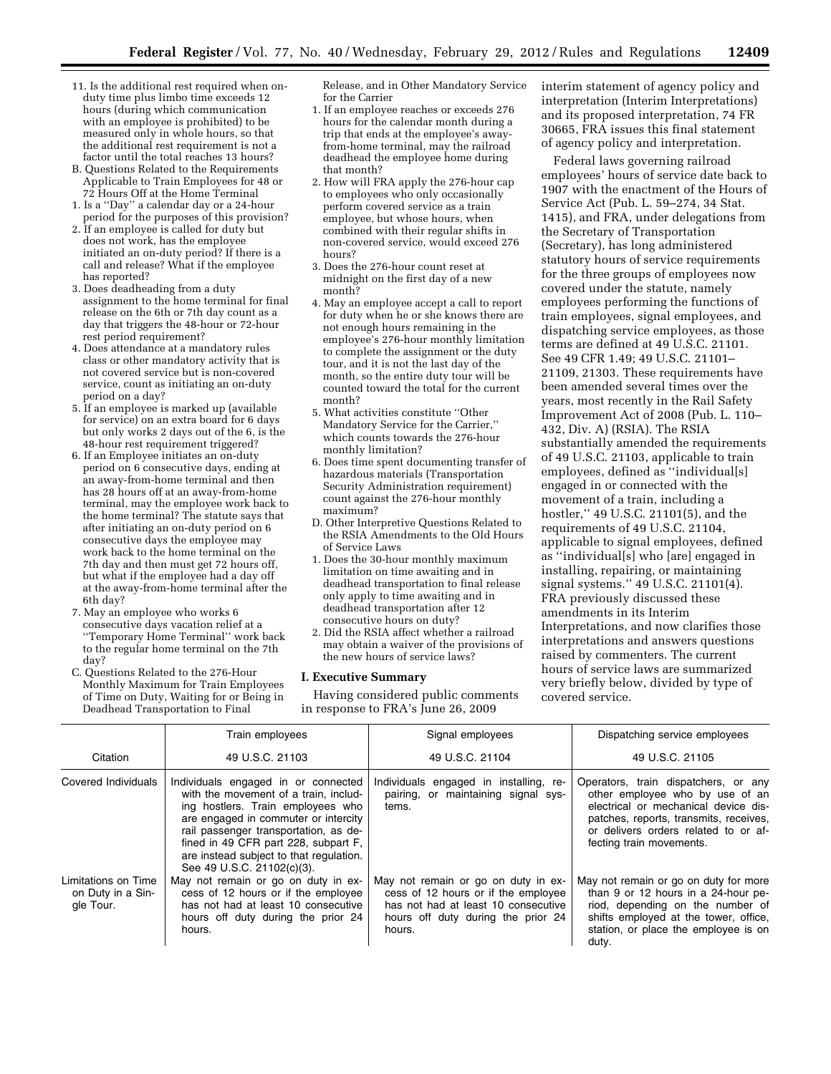- 11. Is the additional rest required when onduty time plus limbo time exceeds 12 hours (during which communication with an employee is prohibited) to be measured only in whole hours, so that the additional rest requirement is not a factor until the total reaches 13 hours?
- B. Questions Related to the Requirements Applicable to Train Employees for 48 or 72 Hours Off at the Home Terminal
- 1. Is a ''Day'' a calendar day or a 24-hour period for the purposes of this provision?
- 2. If an employee is called for duty but does not work, has the employee initiated an on-duty period? If there is a call and release? What if the employee has reported?
- 3. Does deadheading from a duty assignment to the home terminal for final release on the 6th or 7th day count as a day that triggers the 48-hour or 72-hour rest period requirement?
- 4. Does attendance at a mandatory rules class or other mandatory activity that is not covered service but is non-covered service, count as initiating an on-duty period on a day?
- 5. If an employee is marked up (available for service) on an extra board for 6 days but only works 2 days out of the 6, is the 48-hour rest requirement triggered?
- 6. If an Employee initiates an on-duty period on 6 consecutive days, ending at an away-from-home terminal and then has 28 hours off at an away-from-home terminal, may the employee work back to the home terminal? The statute says that after initiating an on-duty period on 6 consecutive days the employee may work back to the home terminal on the 7th day and then must get 72 hours off, but what if the employee had a day off at the away-from-home terminal after the 6th day?
- 7. May an employee who works 6 consecutive days vacation relief at a ''Temporary Home Terminal'' work back to the regular home terminal on the 7th day?
- C. Questions Related to the 276-Hour Monthly Maximum for Train Employees of Time on Duty, Waiting for or Being in Deadhead Transportation to Final

Release, and in Other Mandatory Service for the Carrier

- 1. If an employee reaches or exceeds 276 hours for the calendar month during a trip that ends at the employee's awayfrom-home terminal, may the railroad deadhead the employee home during that month?
- 2. How will FRA apply the 276-hour cap to employees who only occasionally perform covered service as a train employee, but whose hours, when combined with their regular shifts in non-covered service, would exceed 276 hours?
- 3. Does the 276-hour count reset at midnight on the first day of a new month?
- 4. May an employee accept a call to report for duty when he or she knows there are not enough hours remaining in the employee's 276-hour monthly limitation to complete the assignment or the duty tour, and it is not the last day of the month, so the entire duty tour will be counted toward the total for the current month?
- 5. What activities constitute ''Other Mandatory Service for the Carrier,'' which counts towards the 276-hour monthly limitation?
- 6. Does time spent documenting transfer of hazardous materials (Transportation Security Administration requirement) count against the 276-hour monthly maximum?
- D. Other Interpretive Questions Related to the RSIA Amendments to the Old Hours of Service Laws
- 1. Does the 30-hour monthly maximum limitation on time awaiting and in deadhead transportation to final release only apply to time awaiting and in deadhead transportation after 12 consecutive hours on duty?
- 2. Did the RSIA affect whether a railroad may obtain a waiver of the provisions of the new hours of service laws?

## **I. Executive Summary**

Having considered public comments in response to FRA's June 26, 2009

interim statement of agency policy and interpretation (Interim Interpretations) and its proposed interpretation, 74 FR 30665, FRA issues this final statement of agency policy and interpretation.

Federal laws governing railroad employees' hours of service date back to 1907 with the enactment of the Hours of Service Act (Pub. L. 59–274, 34 Stat. 1415), and FRA, under delegations from the Secretary of Transportation (Secretary), has long administered statutory hours of service requirements for the three groups of employees now covered under the statute, namely employees performing the functions of train employees, signal employees, and dispatching service employees, as those terms are defined at 49 U.S.C. 21101. See 49 CFR 1.49; 49 U.S.C. 21101– 21109, 21303. These requirements have been amended several times over the years, most recently in the Rail Safety Improvement Act of 2008 (Pub. L. 110– 432, Div. A) (RSIA). The RSIA substantially amended the requirements of 49 U.S.C. 21103, applicable to train employees, defined as ''individual[s] engaged in or connected with the movement of a train, including a hostler,'' 49 U.S.C. 21101(5), and the requirements of 49 U.S.C. 21104, applicable to signal employees, defined as ''individual[s] who [are] engaged in installing, repairing, or maintaining signal systems.'' 49 U.S.C. 21101(4). FRA previously discussed these amendments in its Interim Interpretations, and now clarifies those interpretations and answers questions raised by commenters. The current hours of service laws are summarized very briefly below, divided by type of covered service.

|                                                       | Train employees                                                                                                                                                                                                                                                                                                     | Signal employees                                                                                                                                                  | Dispatching service employees                                                                                                                                                                                                 |
|-------------------------------------------------------|---------------------------------------------------------------------------------------------------------------------------------------------------------------------------------------------------------------------------------------------------------------------------------------------------------------------|-------------------------------------------------------------------------------------------------------------------------------------------------------------------|-------------------------------------------------------------------------------------------------------------------------------------------------------------------------------------------------------------------------------|
| Citation                                              | 49 U.S.C. 21103                                                                                                                                                                                                                                                                                                     | 49 U.S.C. 21104                                                                                                                                                   | 49 U.S.C. 21105                                                                                                                                                                                                               |
| Covered Individuals                                   | Individuals engaged in or connected<br>with the movement of a train, includ-<br>ing hostlers. Train employees who<br>are engaged in commuter or intercity<br>rail passenger transportation, as de-<br>fined in 49 CFR part 228, subpart F,<br>are instead subject to that regulation.<br>See 49 U.S.C. 21102(c)(3). | Individuals engaged in installing, re-<br>pairing, or maintaining signal sys-<br>tems.                                                                            | Operators, train dispatchers, or any<br>other employee who by use of an<br>electrical or mechanical device dis-<br>patches, reports, transmits, receives,<br>or delivers orders related to or af-<br>fecting train movements. |
| Limitations on Time<br>on Duty in a Sin-<br>gle Tour. | May not remain or go on duty in ex-<br>cess of 12 hours or if the employee<br>has not had at least 10 consecutive<br>hours off duty during the prior 24<br>hours.                                                                                                                                                   | May not remain or go on duty in ex-<br>cess of 12 hours or if the employee<br>has not had at least 10 consecutive<br>hours off duty during the prior 24<br>hours. | May not remain or go on duty for more<br>than 9 or 12 hours in a 24-hour pe-<br>riod, depending on the number of<br>shifts employed at the tower, office,<br>station, or place the employee is on<br>duty.                    |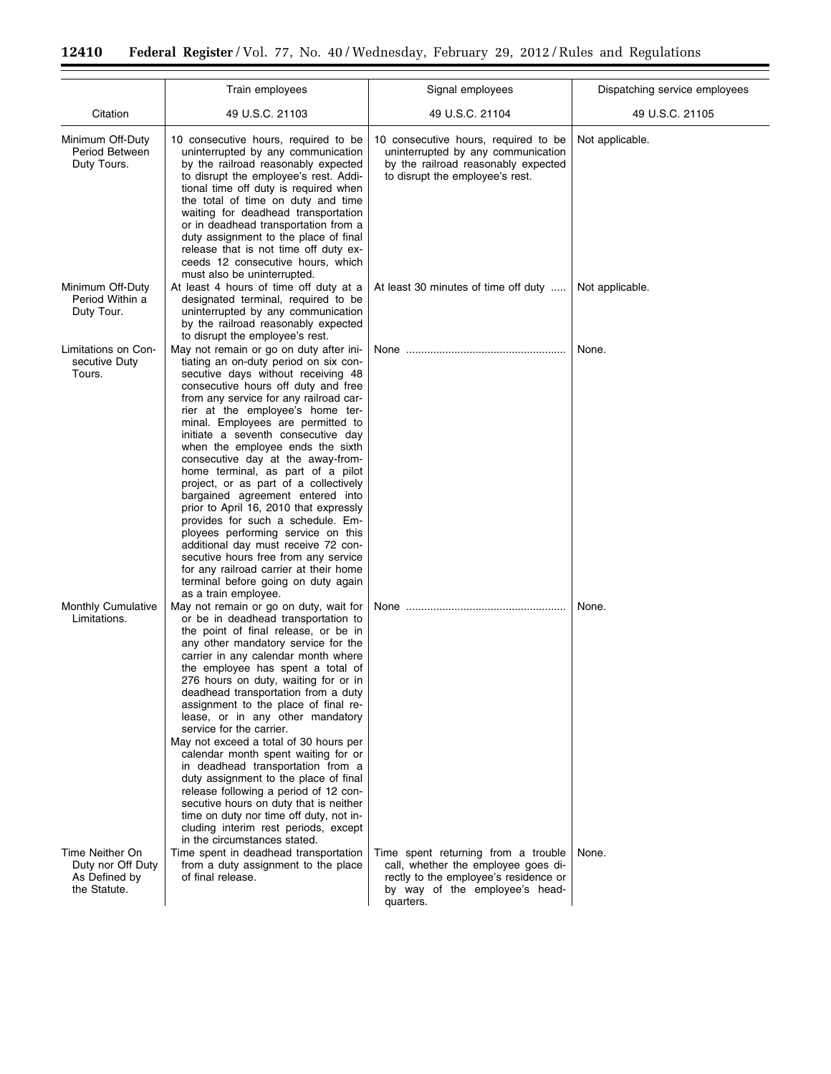÷.

 $\equiv$ 

|                                                                       | Train employees                                                                                                                                                                                                                                                                                                                                                                                                                                                                                                                                                                                                                                                                                                                                                                                                                | Signal employees                                                                                                                                                   | Dispatching service employees |
|-----------------------------------------------------------------------|--------------------------------------------------------------------------------------------------------------------------------------------------------------------------------------------------------------------------------------------------------------------------------------------------------------------------------------------------------------------------------------------------------------------------------------------------------------------------------------------------------------------------------------------------------------------------------------------------------------------------------------------------------------------------------------------------------------------------------------------------------------------------------------------------------------------------------|--------------------------------------------------------------------------------------------------------------------------------------------------------------------|-------------------------------|
| Citation                                                              | 49 U.S.C. 21103                                                                                                                                                                                                                                                                                                                                                                                                                                                                                                                                                                                                                                                                                                                                                                                                                | 49 U.S.C. 21104                                                                                                                                                    | 49 U.S.C. 21105               |
| Minimum Off-Duty<br>Period Between<br>Duty Tours.                     | 10 consecutive hours, required to be<br>uninterrupted by any communication<br>by the railroad reasonably expected<br>to disrupt the employee's rest. Addi-<br>tional time off duty is required when<br>the total of time on duty and time<br>waiting for deadhead transportation<br>or in deadhead transportation from a<br>duty assignment to the place of final<br>release that is not time off duty ex-<br>ceeds 12 consecutive hours, which<br>must also be uninterrupted.                                                                                                                                                                                                                                                                                                                                                 | 10 consecutive hours, required to be<br>uninterrupted by any communication<br>by the railroad reasonably expected<br>to disrupt the employee's rest.               | Not applicable.               |
| Minimum Off-Duty<br>Period Within a<br>Duty Tour.                     | At least 4 hours of time off duty at a<br>designated terminal, required to be<br>uninterrupted by any communication<br>by the railroad reasonably expected<br>to disrupt the employee's rest.                                                                                                                                                                                                                                                                                                                                                                                                                                                                                                                                                                                                                                  | At least 30 minutes of time off duty                                                                                                                               | Not applicable.               |
| Limitations on Con-<br>secutive Duty<br>Tours.                        | May not remain or go on duty after ini-<br>tiating an on-duty period on six con-<br>secutive days without receiving 48<br>consecutive hours off duty and free<br>from any service for any railroad car-<br>rier at the employee's home ter-<br>minal. Employees are permitted to<br>initiate a seventh consecutive day<br>when the employee ends the sixth<br>consecutive day at the away-from-<br>home terminal, as part of a pilot<br>project, or as part of a collectively<br>bargained agreement entered into<br>prior to April 16, 2010 that expressly<br>provides for such a schedule. Em-<br>ployees performing service on this<br>additional day must receive 72 con-<br>secutive hours free from any service<br>for any railroad carrier at their home<br>terminal before going on duty again<br>as a train employee. |                                                                                                                                                                    | None.                         |
| <b>Monthly Cumulative</b><br>Limitations.                             | May not remain or go on duty, wait for<br>or be in deadhead transportation to<br>the point of final release, or be in<br>any other mandatory service for the<br>carrier in any calendar month where<br>the employee has spent a total of<br>276 hours on duty, waiting for or in<br>deadhead transportation from a duty<br>assignment to the place of final re-<br>lease, or in any other mandatory<br>service for the carrier.<br>May not exceed a total of 30 hours per<br>calendar month spent waiting for or<br>in deadhead transportation from a<br>duty assignment to the place of final<br>release following a period of 12 con-<br>secutive hours on duty that is neither<br>time on duty nor time off duty, not in-<br>cluding interim rest periods, except<br>in the circumstances stated.                           |                                                                                                                                                                    | None.                         |
| Time Neither On<br>Duty nor Off Duty<br>As Defined by<br>the Statute. | Time spent in deadhead transportation<br>from a duty assignment to the place<br>of final release.                                                                                                                                                                                                                                                                                                                                                                                                                                                                                                                                                                                                                                                                                                                              | Time spent returning from a trouble<br>call, whether the employee goes di-<br>rectly to the employee's residence or<br>by way of the employee's head-<br>quarters. | None.                         |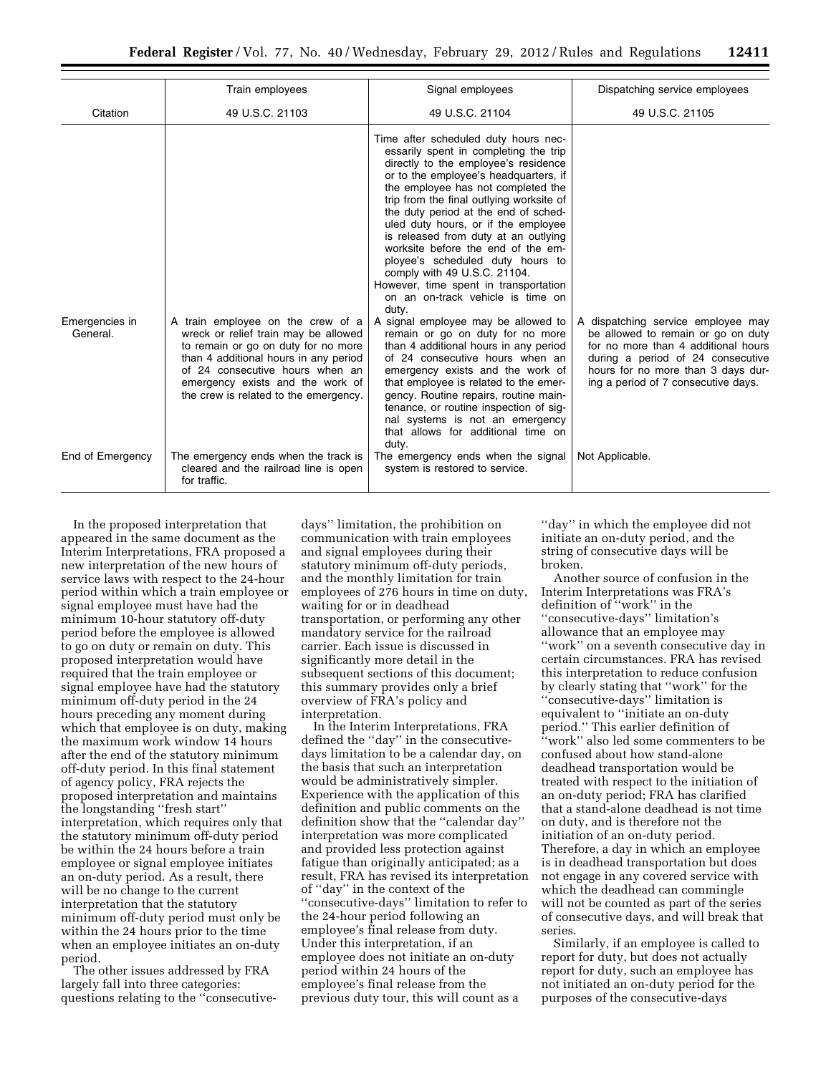|                            | Train employees                                                                                                                                                                                                                                                           | Signal employees                                                                                                                                                                                                                                                                                                                                                                                                                                                                                                                                                                                                                                                                                                                                                                                                                                                                                                                                                                  | Dispatching service employees                                                                                                                                                                                                     |
|----------------------------|---------------------------------------------------------------------------------------------------------------------------------------------------------------------------------------------------------------------------------------------------------------------------|-----------------------------------------------------------------------------------------------------------------------------------------------------------------------------------------------------------------------------------------------------------------------------------------------------------------------------------------------------------------------------------------------------------------------------------------------------------------------------------------------------------------------------------------------------------------------------------------------------------------------------------------------------------------------------------------------------------------------------------------------------------------------------------------------------------------------------------------------------------------------------------------------------------------------------------------------------------------------------------|-----------------------------------------------------------------------------------------------------------------------------------------------------------------------------------------------------------------------------------|
| Citation                   | 49 U.S.C. 21103                                                                                                                                                                                                                                                           | 49 U.S.C. 21104                                                                                                                                                                                                                                                                                                                                                                                                                                                                                                                                                                                                                                                                                                                                                                                                                                                                                                                                                                   | 49 U.S.C. 21105                                                                                                                                                                                                                   |
| Emergencies in<br>General. | A train employee on the crew of a<br>wreck or relief train may be allowed<br>to remain or go on duty for no more<br>than 4 additional hours in any period<br>of 24 consecutive hours when an<br>emergency exists and the work of<br>the crew is related to the emergency. | Time after scheduled duty hours nec-<br>essarily spent in completing the trip<br>directly to the employee's residence<br>or to the employee's headquarters, if<br>the employee has not completed the<br>trip from the final outlying worksite of<br>the duty period at the end of sched-<br>uled duty hours, or if the employee<br>is released from duty at an outlying<br>worksite before the end of the em-<br>ployee's scheduled duty hours to<br>comply with 49 U.S.C. 21104.<br>However, time spent in transportation<br>on an on-track vehicle is time on<br>duty.<br>A signal employee may be allowed to<br>remain or go on duty for no more<br>than 4 additional hours in any period<br>of 24 consecutive hours when an<br>emergency exists and the work of<br>that employee is related to the emer-<br>gency. Routine repairs, routine main-<br>tenance, or routine inspection of sig-<br>nal systems is not an emergency<br>that allows for additional time on<br>dutv. | A dispatching service employee may<br>be allowed to remain or go on duty<br>for no more than 4 additional hours<br>during a period of 24 consecutive<br>hours for no more than 3 days dur-<br>ing a period of 7 consecutive days. |
| End of Emergency           | The emergency ends when the track is<br>cleared and the railroad line is open<br>for traffic.                                                                                                                                                                             | The emergency ends when the signal<br>system is restored to service.                                                                                                                                                                                                                                                                                                                                                                                                                                                                                                                                                                                                                                                                                                                                                                                                                                                                                                              | Not Applicable.                                                                                                                                                                                                                   |

In the proposed interpretation that appeared in the same document as the Interim Interpretations, FRA proposed a new interpretation of the new hours of service laws with respect to the 24-hour period within which a train employee or signal employee must have had the minimum 10-hour statutory off-duty period before the employee is allowed to go on duty or remain on duty. This proposed interpretation would have required that the train employee or signal employee have had the statutory minimum off-duty period in the 24 hours preceding any moment during which that employee is on duty, making the maximum work window 14 hours after the end of the statutory minimum off-duty period. In this final statement of agency policy, FRA rejects the proposed interpretation and maintains the longstanding ''fresh start'' interpretation, which requires only that the statutory minimum off-duty period be within the 24 hours before a train employee or signal employee initiates an on-duty period. As a result, there will be no change to the current interpretation that the statutory minimum off-duty period must only be within the 24 hours prior to the time when an employee initiates an on-duty period.

The other issues addressed by FRA largely fall into three categories: questions relating to the ''consecutive-

days'' limitation, the prohibition on communication with train employees and signal employees during their statutory minimum off-duty periods, and the monthly limitation for train employees of 276 hours in time on duty, waiting for or in deadhead transportation, or performing any other mandatory service for the railroad carrier. Each issue is discussed in significantly more detail in the subsequent sections of this document; this summary provides only a brief overview of FRA's policy and interpretation.

In the Interim Interpretations, FRA defined the ''day'' in the consecutivedays limitation to be a calendar day, on the basis that such an interpretation would be administratively simpler. Experience with the application of this definition and public comments on the definition show that the ''calendar day'' interpretation was more complicated and provided less protection against fatigue than originally anticipated; as a result, FRA has revised its interpretation of ''day'' in the context of the ''consecutive-days'' limitation to refer to the 24-hour period following an employee's final release from duty. Under this interpretation, if an employee does not initiate an on-duty period within 24 hours of the employee's final release from the previous duty tour, this will count as a

''day'' in which the employee did not initiate an on-duty period, and the string of consecutive days will be broken.

Another source of confusion in the Interim Interpretations was FRA's definition of ''work'' in the ''consecutive-days'' limitation's allowance that an employee may ''work'' on a seventh consecutive day in certain circumstances. FRA has revised this interpretation to reduce confusion by clearly stating that ''work'' for the ''consecutive-days'' limitation is equivalent to ''initiate an on-duty period.'' This earlier definition of ''work'' also led some commenters to be confused about how stand-alone deadhead transportation would be treated with respect to the initiation of an on-duty period; FRA has clarified that a stand-alone deadhead is not time on duty, and is therefore not the initiation of an on-duty period. Therefore, a day in which an employee is in deadhead transportation but does not engage in any covered service with which the deadhead can commingle will not be counted as part of the series of consecutive days, and will break that series.

Similarly, if an employee is called to report for duty, but does not actually report for duty, such an employee has not initiated an on-duty period for the purposes of the consecutive-days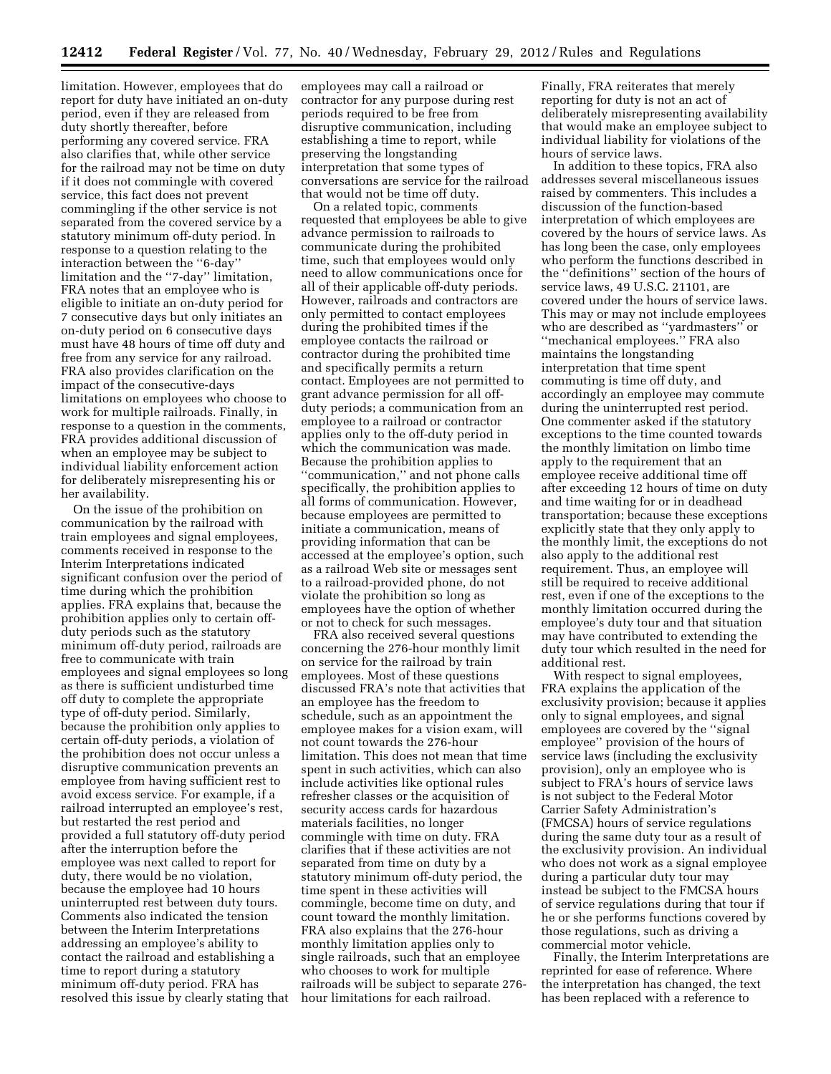limitation. However, employees that do report for duty have initiated an on-duty period, even if they are released from duty shortly thereafter, before performing any covered service. FRA also clarifies that, while other service for the railroad may not be time on duty if it does not commingle with covered service, this fact does not prevent commingling if the other service is not separated from the covered service by a statutory minimum off-duty period. In response to a question relating to the interaction between the ''6-day'' limitation and the ''7-day'' limitation, FRA notes that an employee who is eligible to initiate an on-duty period for 7 consecutive days but only initiates an on-duty period on 6 consecutive days must have 48 hours of time off duty and free from any service for any railroad. FRA also provides clarification on the impact of the consecutive-days limitations on employees who choose to work for multiple railroads. Finally, in response to a question in the comments, FRA provides additional discussion of when an employee may be subject to individual liability enforcement action for deliberately misrepresenting his or her availability.

On the issue of the prohibition on communication by the railroad with train employees and signal employees, comments received in response to the Interim Interpretations indicated significant confusion over the period of time during which the prohibition applies. FRA explains that, because the prohibition applies only to certain offduty periods such as the statutory minimum off-duty period, railroads are free to communicate with train employees and signal employees so long as there is sufficient undisturbed time off duty to complete the appropriate type of off-duty period. Similarly, because the prohibition only applies to certain off-duty periods, a violation of the prohibition does not occur unless a disruptive communication prevents an employee from having sufficient rest to avoid excess service. For example, if a railroad interrupted an employee's rest, but restarted the rest period and provided a full statutory off-duty period after the interruption before the employee was next called to report for duty, there would be no violation, because the employee had 10 hours uninterrupted rest between duty tours. Comments also indicated the tension between the Interim Interpretations addressing an employee's ability to contact the railroad and establishing a time to report during a statutory minimum off-duty period. FRA has resolved this issue by clearly stating that

employees may call a railroad or contractor for any purpose during rest periods required to be free from disruptive communication, including establishing a time to report, while preserving the longstanding interpretation that some types of conversations are service for the railroad that would not be time off duty.

On a related topic, comments requested that employees be able to give advance permission to railroads to communicate during the prohibited time, such that employees would only need to allow communications once for all of their applicable off-duty periods. However, railroads and contractors are only permitted to contact employees during the prohibited times if the employee contacts the railroad or contractor during the prohibited time and specifically permits a return contact. Employees are not permitted to grant advance permission for all offduty periods; a communication from an employee to a railroad or contractor applies only to the off-duty period in which the communication was made. Because the prohibition applies to ''communication,'' and not phone calls specifically, the prohibition applies to all forms of communication. However, because employees are permitted to initiate a communication, means of providing information that can be accessed at the employee's option, such as a railroad Web site or messages sent to a railroad-provided phone, do not violate the prohibition so long as employees have the option of whether or not to check for such messages.

FRA also received several questions concerning the 276-hour monthly limit on service for the railroad by train employees. Most of these questions discussed FRA's note that activities that an employee has the freedom to schedule, such as an appointment the employee makes for a vision exam, will not count towards the 276-hour limitation. This does not mean that time spent in such activities, which can also include activities like optional rules refresher classes or the acquisition of security access cards for hazardous materials facilities, no longer commingle with time on duty. FRA clarifies that if these activities are not separated from time on duty by a statutory minimum off-duty period, the time spent in these activities will commingle, become time on duty, and count toward the monthly limitation. FRA also explains that the 276-hour monthly limitation applies only to single railroads, such that an employee who chooses to work for multiple railroads will be subject to separate 276 hour limitations for each railroad.

Finally, FRA reiterates that merely reporting for duty is not an act of deliberately misrepresenting availability that would make an employee subject to individual liability for violations of the hours of service laws.

In addition to these topics, FRA also addresses several miscellaneous issues raised by commenters. This includes a discussion of the function-based interpretation of which employees are covered by the hours of service laws. As has long been the case, only employees who perform the functions described in the ''definitions'' section of the hours of service laws, 49 U.S.C. 21101, are covered under the hours of service laws. This may or may not include employees who are described as ''yardmasters'' or ''mechanical employees.'' FRA also maintains the longstanding interpretation that time spent commuting is time off duty, and accordingly an employee may commute during the uninterrupted rest period. One commenter asked if the statutory exceptions to the time counted towards the monthly limitation on limbo time apply to the requirement that an employee receive additional time off after exceeding 12 hours of time on duty and time waiting for or in deadhead transportation; because these exceptions explicitly state that they only apply to the monthly limit, the exceptions do not also apply to the additional rest requirement. Thus, an employee will still be required to receive additional rest, even if one of the exceptions to the monthly limitation occurred during the employee's duty tour and that situation may have contributed to extending the duty tour which resulted in the need for additional rest.

With respect to signal employees, FRA explains the application of the exclusivity provision; because it applies only to signal employees, and signal employees are covered by the ''signal employee'' provision of the hours of service laws (including the exclusivity provision), only an employee who is subject to FRA's hours of service laws is not subject to the Federal Motor Carrier Safety Administration's (FMCSA) hours of service regulations during the same duty tour as a result of the exclusivity provision. An individual who does not work as a signal employee during a particular duty tour may instead be subject to the FMCSA hours of service regulations during that tour if he or she performs functions covered by those regulations, such as driving a commercial motor vehicle.

Finally, the Interim Interpretations are reprinted for ease of reference. Where the interpretation has changed, the text has been replaced with a reference to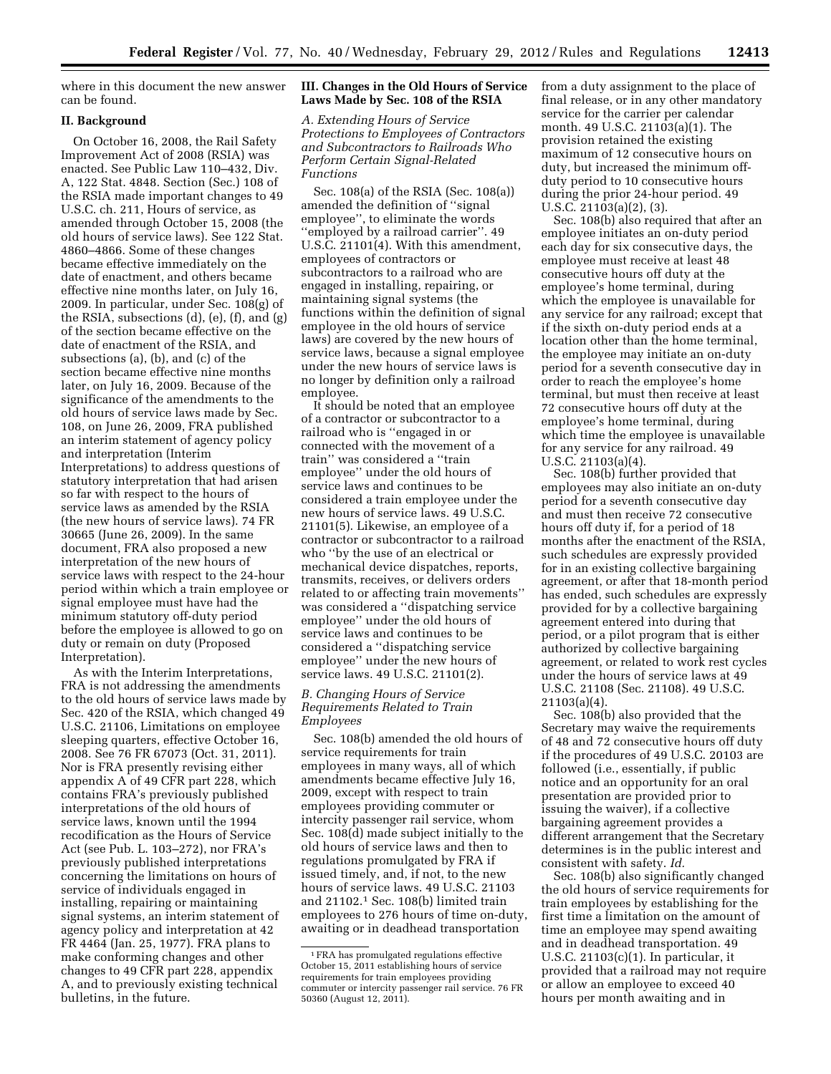where in this document the new answer can be found.

## **II. Background**

On October 16, 2008, the Rail Safety Improvement Act of 2008 (RSIA) was enacted. See Public Law 110–432, Div. A, 122 Stat. 4848. Section (Sec.) 108 of the RSIA made important changes to 49 U.S.C. ch. 211, Hours of service, as amended through October 15, 2008 (the old hours of service laws). See 122 Stat. 4860–4866. Some of these changes became effective immediately on the date of enactment, and others became effective nine months later, on July 16, 2009. In particular, under Sec. 108(g) of the RSIA, subsections (d), (e), (f), and (g) of the section became effective on the date of enactment of the RSIA, and subsections (a), (b), and (c) of the section became effective nine months later, on July 16, 2009. Because of the significance of the amendments to the old hours of service laws made by Sec. 108, on June 26, 2009, FRA published an interim statement of agency policy and interpretation (Interim Interpretations) to address questions of statutory interpretation that had arisen so far with respect to the hours of service laws as amended by the RSIA (the new hours of service laws). 74 FR 30665 (June 26, 2009). In the same document, FRA also proposed a new interpretation of the new hours of service laws with respect to the 24-hour period within which a train employee or signal employee must have had the minimum statutory off-duty period before the employee is allowed to go on duty or remain on duty (Proposed Interpretation).

As with the Interim Interpretations, FRA is not addressing the amendments to the old hours of service laws made by Sec. 420 of the RSIA, which changed 49 U.S.C. 21106, Limitations on employee sleeping quarters, effective October 16, 2008. See 76 FR 67073 (Oct. 31, 2011). Nor is FRA presently revising either appendix A of 49 CFR part 228, which contains FRA's previously published interpretations of the old hours of service laws, known until the 1994 recodification as the Hours of Service Act (see Pub. L. 103–272), nor FRA's previously published interpretations concerning the limitations on hours of service of individuals engaged in installing, repairing or maintaining signal systems, an interim statement of agency policy and interpretation at 42 FR 4464 (Jan. 25, 1977). FRA plans to make conforming changes and other changes to 49 CFR part 228, appendix A, and to previously existing technical bulletins, in the future.

## **III. Changes in the Old Hours of Service Laws Made by Sec. 108 of the RSIA**

*A. Extending Hours of Service Protections to Employees of Contractors and Subcontractors to Railroads Who Perform Certain Signal-Related Functions* 

Sec. 108(a) of the RSIA (Sec. 108(a)) amended the definition of ''signal employee'', to eliminate the words ''employed by a railroad carrier''. 49 U.S.C. 21101(4). With this amendment, employees of contractors or subcontractors to a railroad who are engaged in installing, repairing, or maintaining signal systems (the functions within the definition of signal employee in the old hours of service laws) are covered by the new hours of service laws, because a signal employee under the new hours of service laws is no longer by definition only a railroad employee.

It should be noted that an employee of a contractor or subcontractor to a railroad who is ''engaged in or connected with the movement of a train'' was considered a ''train employee'' under the old hours of service laws and continues to be considered a train employee under the new hours of service laws. 49 U.S.C. 21101(5). Likewise, an employee of a contractor or subcontractor to a railroad who ''by the use of an electrical or mechanical device dispatches, reports, transmits, receives, or delivers orders related to or affecting train movements'' was considered a ''dispatching service employee'' under the old hours of service laws and continues to be considered a ''dispatching service employee'' under the new hours of service laws. 49 U.S.C. 21101(2).

#### *B. Changing Hours of Service Requirements Related to Train Employees*

Sec. 108(b) amended the old hours of service requirements for train employees in many ways, all of which amendments became effective July 16, 2009, except with respect to train employees providing commuter or intercity passenger rail service, whom Sec. 108(d) made subject initially to the old hours of service laws and then to regulations promulgated by FRA if issued timely, and, if not, to the new hours of service laws. 49 U.S.C. 21103 and 21102.1 Sec. 108(b) limited train employees to 276 hours of time on-duty, awaiting or in deadhead transportation

from a duty assignment to the place of final release, or in any other mandatory service for the carrier per calendar month. 49 U.S.C. 21103(a)(1). The provision retained the existing maximum of 12 consecutive hours on duty, but increased the minimum offduty period to 10 consecutive hours during the prior 24-hour period. 49 U.S.C. 21103(a)(2), (3).

Sec. 108(b) also required that after an employee initiates an on-duty period each day for six consecutive days, the employee must receive at least 48 consecutive hours off duty at the employee's home terminal, during which the employee is unavailable for any service for any railroad; except that if the sixth on-duty period ends at a location other than the home terminal, the employee may initiate an on-duty period for a seventh consecutive day in order to reach the employee's home terminal, but must then receive at least 72 consecutive hours off duty at the employee's home terminal, during which time the employee is unavailable for any service for any railroad. 49 U.S.C. 21103(a)(4).

Sec. 108(b) further provided that employees may also initiate an on-duty period for a seventh consecutive day and must then receive 72 consecutive hours off duty if, for a period of 18 months after the enactment of the RSIA, such schedules are expressly provided for in an existing collective bargaining agreement, or after that 18-month period has ended, such schedules are expressly provided for by a collective bargaining agreement entered into during that period, or a pilot program that is either authorized by collective bargaining agreement, or related to work rest cycles under the hours of service laws at 49 U.S.C. 21108 (Sec. 21108). 49 U.S.C. 21103(a)(4).

Sec. 108(b) also provided that the Secretary may waive the requirements of 48 and 72 consecutive hours off duty if the procedures of 49 U.S.C. 20103 are followed (i.e., essentially, if public notice and an opportunity for an oral presentation are provided prior to issuing the waiver), if a collective bargaining agreement provides a different arrangement that the Secretary determines is in the public interest and consistent with safety. *Id.* 

Sec. 108(b) also significantly changed the old hours of service requirements for train employees by establishing for the first time a limitation on the amount of time an employee may spend awaiting and in deadhead transportation. 49 U.S.C. 21103(c)(1). In particular, it provided that a railroad may not require or allow an employee to exceed 40 hours per month awaiting and in

<sup>1</sup>FRA has promulgated regulations effective October 15, 2011 establishing hours of service requirements for train employees providing commuter or intercity passenger rail service. 76 FR 50360 (August 12, 2011).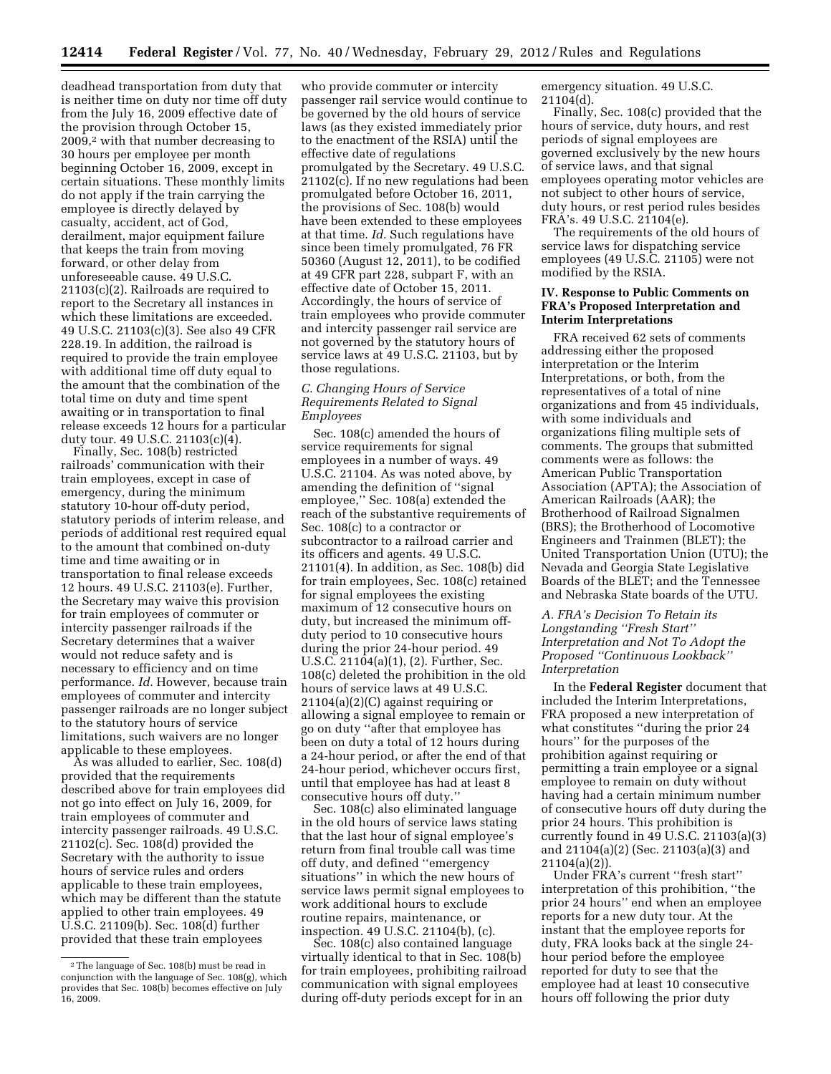deadhead transportation from duty that is neither time on duty nor time off duty from the July 16, 2009 effective date of the provision through October 15, 2009,2 with that number decreasing to 30 hours per employee per month beginning October 16, 2009, except in certain situations. These monthly limits do not apply if the train carrying the employee is directly delayed by casualty, accident, act of God, derailment, major equipment failure that keeps the train from moving forward, or other delay from unforeseeable cause. 49 U.S.C. 21103(c)(2). Railroads are required to report to the Secretary all instances in which these limitations are exceeded. 49 U.S.C. 21103(c)(3). See also 49 CFR 228.19. In addition, the railroad is required to provide the train employee with additional time off duty equal to the amount that the combination of the total time on duty and time spent awaiting or in transportation to final release exceeds 12 hours for a particular duty tour. 49 U.S.C. 21103(c)(4).

Finally, Sec. 108(b) restricted railroads' communication with their train employees, except in case of emergency, during the minimum statutory 10-hour off-duty period, statutory periods of interim release, and periods of additional rest required equal to the amount that combined on-duty time and time awaiting or in transportation to final release exceeds 12 hours. 49 U.S.C. 21103(e). Further, the Secretary may waive this provision for train employees of commuter or intercity passenger railroads if the Secretary determines that a waiver would not reduce safety and is necessary to efficiency and on time performance. *Id.* However, because train employees of commuter and intercity passenger railroads are no longer subject to the statutory hours of service limitations, such waivers are no longer applicable to these employees.

As was alluded to earlier, Sec. 108(d) provided that the requirements described above for train employees did not go into effect on July 16, 2009, for train employees of commuter and intercity passenger railroads. 49 U.S.C. 21102(c). Sec. 108(d) provided the Secretary with the authority to issue hours of service rules and orders applicable to these train employees, which may be different than the statute applied to other train employees. 49 U.S.C. 21109(b). Sec. 108(d) further provided that these train employees

who provide commuter or intercity passenger rail service would continue to be governed by the old hours of service laws (as they existed immediately prior to the enactment of the RSIA) until the effective date of regulations promulgated by the Secretary. 49 U.S.C. 21102(c). If no new regulations had been promulgated before October 16, 2011, the provisions of Sec. 108(b) would have been extended to these employees at that time. *Id.* Such regulations have since been timely promulgated, 76 FR 50360 (August 12, 2011), to be codified at 49 CFR part 228, subpart F, with an effective date of October 15, 2011. Accordingly, the hours of service of train employees who provide commuter and intercity passenger rail service are not governed by the statutory hours of service laws at 49 U.S.C. 21103, but by those regulations.

## *C. Changing Hours of Service Requirements Related to Signal Employees*

Sec. 108(c) amended the hours of service requirements for signal employees in a number of ways. 49 U.S.C. 21104. As was noted above, by amending the definition of ''signal employee,'' Sec. 108(a) extended the reach of the substantive requirements of Sec. 108(c) to a contractor or subcontractor to a railroad carrier and its officers and agents. 49 U.S.C. 21101(4). In addition, as Sec. 108(b) did for train employees, Sec. 108(c) retained for signal employees the existing maximum of 12 consecutive hours on duty, but increased the minimum offduty period to 10 consecutive hours during the prior 24-hour period. 49 U.S.C. 21104(a)(1), (2). Further, Sec. 108(c) deleted the prohibition in the old hours of service laws at 49 U.S.C. 21104(a)(2)(C) against requiring or allowing a signal employee to remain or go on duty ''after that employee has been on duty a total of 12 hours during a 24-hour period, or after the end of that 24-hour period, whichever occurs first, until that employee has had at least 8 consecutive hours off duty.''

Sec. 108(c) also eliminated language in the old hours of service laws stating that the last hour of signal employee's return from final trouble call was time off duty, and defined ''emergency situations'' in which the new hours of service laws permit signal employees to work additional hours to exclude routine repairs, maintenance, or inspection. 49 U.S.C. 21104(b), (c).

Sec. 108(c) also contained language virtually identical to that in Sec. 108(b) for train employees, prohibiting railroad communication with signal employees during off-duty periods except for in an

emergency situation. 49 U.S.C.  $21104(d)$ .

Finally, Sec. 108(c) provided that the hours of service, duty hours, and rest periods of signal employees are governed exclusively by the new hours of service laws, and that signal employees operating motor vehicles are not subject to other hours of service, duty hours, or rest period rules besides FRA's. 49 U.S.C. 21104(e).

The requirements of the old hours of service laws for dispatching service employees (49 U.S.C. 21105) were not modified by the RSIA.

#### **IV. Response to Public Comments on FRA's Proposed Interpretation and Interim Interpretations**

FRA received 62 sets of comments addressing either the proposed interpretation or the Interim Interpretations, or both, from the representatives of a total of nine organizations and from 45 individuals, with some individuals and organizations filing multiple sets of comments. The groups that submitted comments were as follows: the American Public Transportation Association (APTA); the Association of American Railroads (AAR); the Brotherhood of Railroad Signalmen (BRS); the Brotherhood of Locomotive Engineers and Trainmen (BLET); the United Transportation Union (UTU); the Nevada and Georgia State Legislative Boards of the BLET; and the Tennessee and Nebraska State boards of the UTU.

## *A. FRA's Decision To Retain its Longstanding ''Fresh Start'' Interpretation and Not To Adopt the Proposed ''Continuous Lookback'' Interpretation*

In the **Federal Register** document that included the Interim Interpretations, FRA proposed a new interpretation of what constitutes ''during the prior 24 hours'' for the purposes of the prohibition against requiring or permitting a train employee or a signal employee to remain on duty without having had a certain minimum number of consecutive hours off duty during the prior 24 hours. This prohibition is currently found in 49 U.S.C. 21103(a)(3) and 21104(a)(2) (Sec. 21103(a)(3) and 21104(a)(2)).

Under FRA's current ''fresh start'' interpretation of this prohibition, ''the prior 24 hours'' end when an employee reports for a new duty tour. At the instant that the employee reports for duty, FRA looks back at the single 24 hour period before the employee reported for duty to see that the employee had at least 10 consecutive hours off following the prior duty

<sup>2</sup>The language of Sec. 108(b) must be read in conjunction with the language of Sec. 108(g), which provides that Sec. 108(b) becomes effective on July 16, 2009.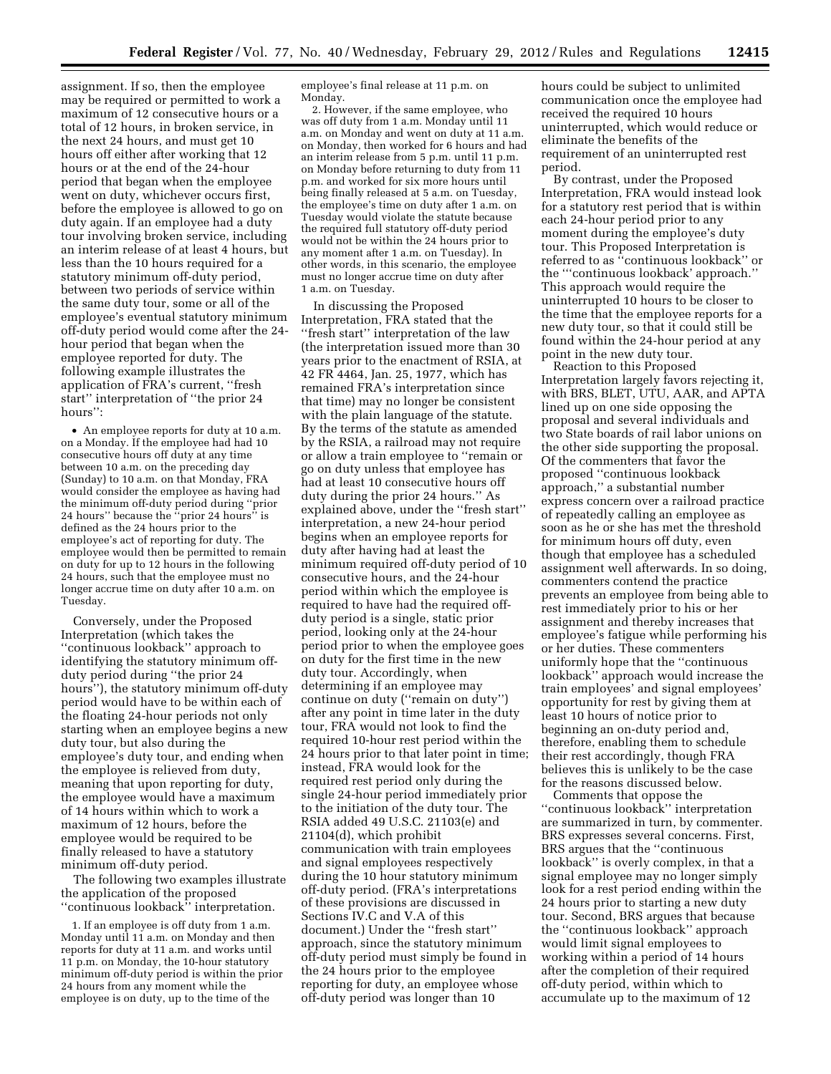assignment. If so, then the employee may be required or permitted to work a maximum of 12 consecutive hours or a total of 12 hours, in broken service, in the next 24 hours, and must get 10 hours off either after working that 12 hours or at the end of the 24-hour period that began when the employee went on duty, whichever occurs first, before the employee is allowed to go on duty again. If an employee had a duty tour involving broken service, including an interim release of at least 4 hours, but less than the 10 hours required for a statutory minimum off-duty period, between two periods of service within the same duty tour, some or all of the employee's eventual statutory minimum off-duty period would come after the 24 hour period that began when the employee reported for duty. The following example illustrates the application of FRA's current, ''fresh start'' interpretation of ''the prior 24 hours'':

• An employee reports for duty at 10 a.m. on a Monday. If the employee had had 10 consecutive hours off duty at any time between 10 a.m. on the preceding day (Sunday) to 10 a.m. on that Monday, FRA would consider the employee as having had the minimum off-duty period during ''prior 24 hours'' because the ''prior 24 hours'' is defined as the 24 hours prior to the employee's act of reporting for duty. The employee would then be permitted to remain on duty for up to 12 hours in the following 24 hours, such that the employee must no longer accrue time on duty after 10 a.m. on Tuesday.

Conversely, under the Proposed Interpretation (which takes the ''continuous lookback'' approach to identifying the statutory minimum offduty period during ''the prior 24 hours''), the statutory minimum off-duty period would have to be within each of the floating 24-hour periods not only starting when an employee begins a new duty tour, but also during the employee's duty tour, and ending when the employee is relieved from duty, meaning that upon reporting for duty, the employee would have a maximum of 14 hours within which to work a maximum of 12 hours, before the employee would be required to be finally released to have a statutory minimum off-duty period.

The following two examples illustrate the application of the proposed ''continuous lookback'' interpretation.

1. If an employee is off duty from 1 a.m. Monday until 11 a.m. on Monday and then reports for duty at 11 a.m. and works until 11 p.m. on Monday, the 10-hour statutory minimum off-duty period is within the prior 24 hours from any moment while the employee is on duty, up to the time of the

employee's final release at 11 p.m. on Monday.

2. However, if the same employee, who was off duty from 1 a.m. Monday until 11 a.m. on Monday and went on duty at 11 a.m. on Monday, then worked for 6 hours and had an interim release from 5 p.m. until 11 p.m. on Monday before returning to duty from 11 p.m. and worked for six more hours until being finally released at 5 a.m. on Tuesday, the employee's time on duty after 1 a.m. on Tuesday would violate the statute because the required full statutory off-duty period would not be within the 24 hours prior to any moment after 1 a.m. on Tuesday). In other words, in this scenario, the employee must no longer accrue time on duty after 1 a.m. on Tuesday.

In discussing the Proposed Interpretation, FRA stated that the ''fresh start'' interpretation of the law (the interpretation issued more than 30 years prior to the enactment of RSIA, at 42 FR 4464, Jan. 25, 1977, which has remained FRA's interpretation since that time) may no longer be consistent with the plain language of the statute. By the terms of the statute as amended by the RSIA, a railroad may not require or allow a train employee to ''remain or go on duty unless that employee has had at least 10 consecutive hours off duty during the prior 24 hours.'' As explained above, under the ''fresh start'' interpretation, a new 24-hour period begins when an employee reports for duty after having had at least the minimum required off-duty period of 10 consecutive hours, and the 24-hour period within which the employee is required to have had the required offduty period is a single, static prior period, looking only at the 24-hour period prior to when the employee goes on duty for the first time in the new duty tour. Accordingly, when determining if an employee may continue on duty (''remain on duty'') after any point in time later in the duty tour, FRA would not look to find the required 10-hour rest period within the 24 hours prior to that later point in time; instead, FRA would look for the required rest period only during the single 24-hour period immediately prior to the initiation of the duty tour. The RSIA added 49 U.S.C. 21103(e) and 21104(d), which prohibit communication with train employees and signal employees respectively during the 10 hour statutory minimum off-duty period. (FRA's interpretations of these provisions are discussed in Sections IV.C and V.A of this document.) Under the ''fresh start'' approach, since the statutory minimum off-duty period must simply be found in the 24 hours prior to the employee reporting for duty, an employee whose off-duty period was longer than 10

hours could be subject to unlimited communication once the employee had received the required 10 hours uninterrupted, which would reduce or eliminate the benefits of the requirement of an uninterrupted rest period.

By contrast, under the Proposed Interpretation, FRA would instead look for a statutory rest period that is within each 24-hour period prior to any moment during the employee's duty tour. This Proposed Interpretation is referred to as ''continuous lookback'' or the '''continuous lookback' approach.'' This approach would require the uninterrupted 10 hours to be closer to the time that the employee reports for a new duty tour, so that it could still be found within the 24-hour period at any point in the new duty tour.

Reaction to this Proposed Interpretation largely favors rejecting it, with BRS, BLET, UTU, AAR, and APTA lined up on one side opposing the proposal and several individuals and two State boards of rail labor unions on the other side supporting the proposal. Of the commenters that favor the proposed ''continuous lookback approach,'' a substantial number express concern over a railroad practice of repeatedly calling an employee as soon as he or she has met the threshold for minimum hours off duty, even though that employee has a scheduled assignment well afterwards. In so doing, commenters contend the practice prevents an employee from being able to rest immediately prior to his or her assignment and thereby increases that employee's fatigue while performing his or her duties. These commenters uniformly hope that the ''continuous lookback'' approach would increase the train employees' and signal employees' opportunity for rest by giving them at least 10 hours of notice prior to beginning an on-duty period and, therefore, enabling them to schedule their rest accordingly, though FRA believes this is unlikely to be the case for the reasons discussed below.

Comments that oppose the ''continuous lookback'' interpretation are summarized in turn, by commenter. BRS expresses several concerns. First, BRS argues that the ''continuous lookback'' is overly complex, in that a signal employee may no longer simply look for a rest period ending within the 24 hours prior to starting a new duty tour. Second, BRS argues that because the ''continuous lookback'' approach would limit signal employees to working within a period of 14 hours after the completion of their required off-duty period, within which to accumulate up to the maximum of 12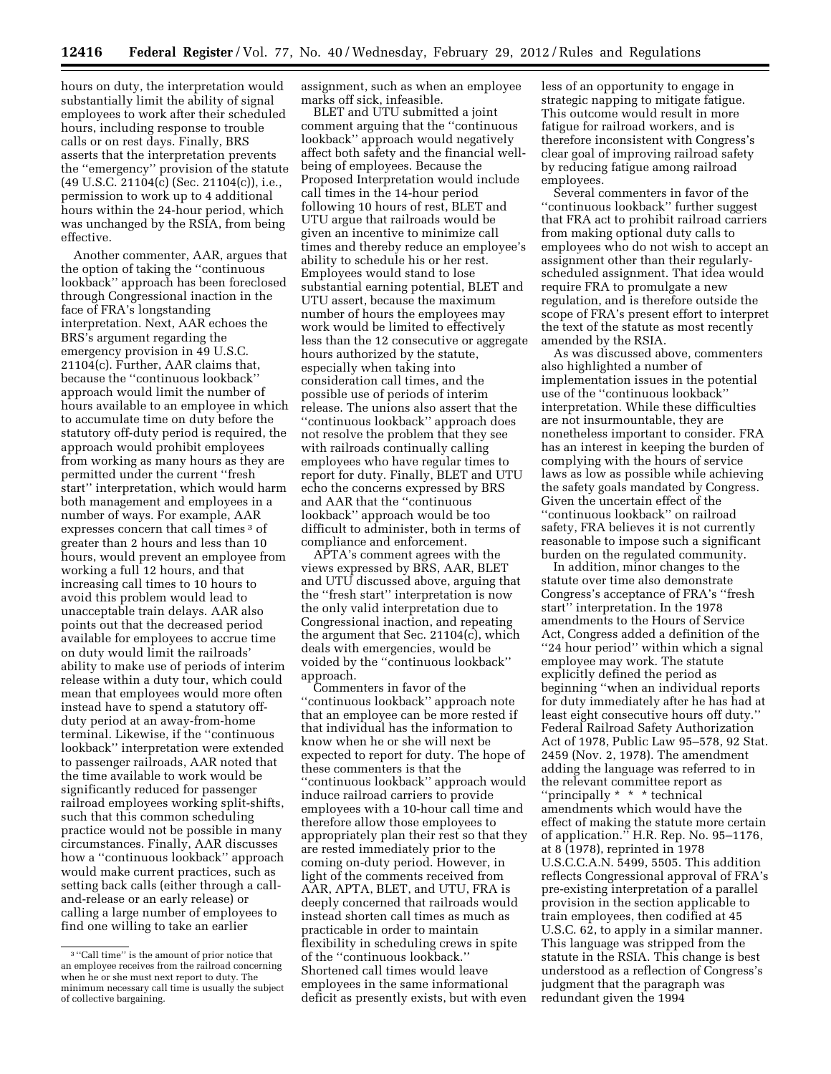hours on duty, the interpretation would substantially limit the ability of signal employees to work after their scheduled hours, including response to trouble calls or on rest days. Finally, BRS asserts that the interpretation prevents the ''emergency'' provision of the statute (49 U.S.C. 21104(c) (Sec. 21104(c)), i.e., permission to work up to 4 additional hours within the 24-hour period, which was unchanged by the RSIA, from being effective.

Another commenter, AAR, argues that the option of taking the ''continuous lookback'' approach has been foreclosed through Congressional inaction in the face of FRA's longstanding interpretation. Next, AAR echoes the BRS's argument regarding the emergency provision in 49 U.S.C. 21104(c). Further, AAR claims that, because the ''continuous lookback'' approach would limit the number of hours available to an employee in which to accumulate time on duty before the statutory off-duty period is required, the approach would prohibit employees from working as many hours as they are permitted under the current ''fresh start'' interpretation, which would harm both management and employees in a number of ways. For example, AAR expresses concern that call times 3 of greater than 2 hours and less than 10 hours, would prevent an employee from working a full 12 hours, and that increasing call times to 10 hours to avoid this problem would lead to unacceptable train delays. AAR also points out that the decreased period available for employees to accrue time on duty would limit the railroads' ability to make use of periods of interim release within a duty tour, which could mean that employees would more often instead have to spend a statutory offduty period at an away-from-home terminal. Likewise, if the ''continuous lookback'' interpretation were extended to passenger railroads, AAR noted that the time available to work would be significantly reduced for passenger railroad employees working split-shifts, such that this common scheduling practice would not be possible in many circumstances. Finally, AAR discusses how a ''continuous lookback'' approach would make current practices, such as setting back calls (either through a calland-release or an early release) or calling a large number of employees to find one willing to take an earlier

assignment, such as when an employee marks off sick, infeasible.

BLET and UTU submitted a joint comment arguing that the ''continuous lookback'' approach would negatively affect both safety and the financial wellbeing of employees. Because the Proposed Interpretation would include call times in the 14-hour period following 10 hours of rest, BLET and UTU argue that railroads would be given an incentive to minimize call times and thereby reduce an employee's ability to schedule his or her rest. Employees would stand to lose substantial earning potential, BLET and UTU assert, because the maximum number of hours the employees may work would be limited to effectively less than the 12 consecutive or aggregate hours authorized by the statute, especially when taking into consideration call times, and the possible use of periods of interim release. The unions also assert that the ''continuous lookback'' approach does not resolve the problem that they see with railroads continually calling employees who have regular times to report for duty. Finally, BLET and UTU echo the concerns expressed by BRS and AAR that the ''continuous lookback'' approach would be too difficult to administer, both in terms of compliance and enforcement.

APTA's comment agrees with the views expressed by BRS, AAR, BLET and UTU discussed above, arguing that the ''fresh start'' interpretation is now the only valid interpretation due to Congressional inaction, and repeating the argument that Sec. 21104(c), which deals with emergencies, would be voided by the ''continuous lookback'' approach.

Commenters in favor of the ''continuous lookback'' approach note that an employee can be more rested if that individual has the information to know when he or she will next be expected to report for duty. The hope of these commenters is that the ''continuous lookback'' approach would induce railroad carriers to provide employees with a 10-hour call time and therefore allow those employees to appropriately plan their rest so that they are rested immediately prior to the coming on-duty period. However, in light of the comments received from AAR, APTA, BLET, and UTU, FRA is deeply concerned that railroads would instead shorten call times as much as practicable in order to maintain flexibility in scheduling crews in spite of the ''continuous lookback.'' Shortened call times would leave employees in the same informational deficit as presently exists, but with even

less of an opportunity to engage in strategic napping to mitigate fatigue. This outcome would result in more fatigue for railroad workers, and is therefore inconsistent with Congress's clear goal of improving railroad safety by reducing fatigue among railroad employees.

Several commenters in favor of the ''continuous lookback'' further suggest that FRA act to prohibit railroad carriers from making optional duty calls to employees who do not wish to accept an assignment other than their regularlyscheduled assignment. That idea would require FRA to promulgate a new regulation, and is therefore outside the scope of FRA's present effort to interpret the text of the statute as most recently amended by the RSIA.

As was discussed above, commenters also highlighted a number of implementation issues in the potential use of the ''continuous lookback'' interpretation. While these difficulties are not insurmountable, they are nonetheless important to consider. FRA has an interest in keeping the burden of complying with the hours of service laws as low as possible while achieving the safety goals mandated by Congress. Given the uncertain effect of the ''continuous lookback'' on railroad safety, FRA believes it is not currently reasonable to impose such a significant burden on the regulated community.

In addition, minor changes to the statute over time also demonstrate Congress's acceptance of FRA's ''fresh start'' interpretation. In the 1978 amendments to the Hours of Service Act, Congress added a definition of the ''24 hour period'' within which a signal employee may work. The statute explicitly defined the period as beginning ''when an individual reports for duty immediately after he has had at least eight consecutive hours off duty.'' Federal Railroad Safety Authorization Act of 1978, Public Law 95–578, 92 Stat. 2459 (Nov. 2, 1978). The amendment adding the language was referred to in the relevant committee report as ''principally \* \* \* technical amendments which would have the effect of making the statute more certain of application.'' H.R. Rep. No. 95–1176, at 8 (1978), reprinted in 1978 U.S.C.C.A.N. 5499, 5505. This addition reflects Congressional approval of FRA's pre-existing interpretation of a parallel provision in the section applicable to train employees, then codified at 45 U.S.C. 62, to apply in a similar manner. This language was stripped from the statute in the RSIA. This change is best understood as a reflection of Congress's judgment that the paragraph was redundant given the 1994

<sup>&</sup>lt;sup>3</sup> "Call time" is the amount of prior notice that an employee receives from the railroad concerning when he or she must next report to duty. The minimum necessary call time is usually the subject of collective bargaining.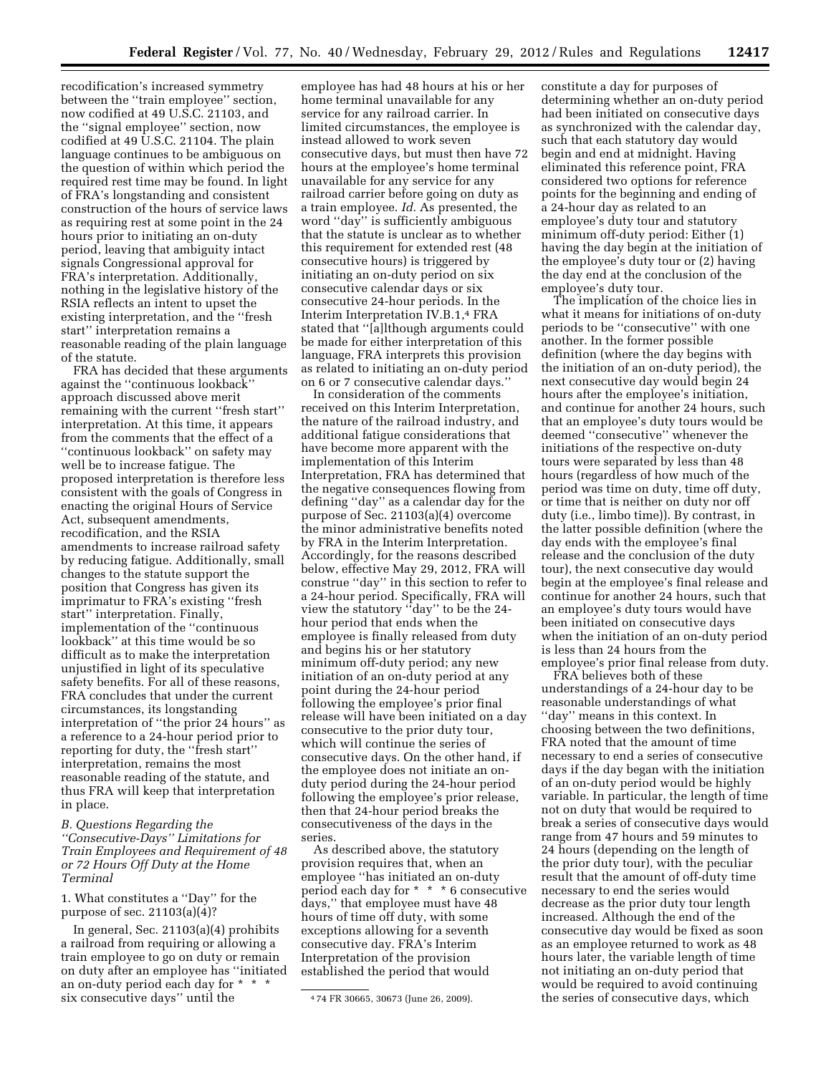recodification's increased symmetry between the ''train employee'' section, now codified at 49 U.S.C. 21103, and the ''signal employee'' section, now codified at 49 U.S.C. 21104. The plain language continues to be ambiguous on the question of within which period the required rest time may be found. In light of FRA's longstanding and consistent construction of the hours of service laws as requiring rest at some point in the 24 hours prior to initiating an on-duty period, leaving that ambiguity intact signals Congressional approval for FRA's interpretation. Additionally, nothing in the legislative history of the RSIA reflects an intent to upset the existing interpretation, and the ''fresh start'' interpretation remains a reasonable reading of the plain language of the statute.

FRA has decided that these arguments against the ''continuous lookback'' approach discussed above merit remaining with the current ''fresh start'' interpretation. At this time, it appears from the comments that the effect of a ''continuous lookback'' on safety may well be to increase fatigue. The proposed interpretation is therefore less consistent with the goals of Congress in enacting the original Hours of Service Act, subsequent amendments, recodification, and the RSIA amendments to increase railroad safety by reducing fatigue. Additionally, small changes to the statute support the position that Congress has given its imprimatur to FRA's existing ''fresh start'' interpretation. Finally, implementation of the ''continuous lookback'' at this time would be so difficult as to make the interpretation unjustified in light of its speculative safety benefits. For all of these reasons, FRA concludes that under the current circumstances, its longstanding interpretation of ''the prior 24 hours'' as a reference to a 24-hour period prior to reporting for duty, the ''fresh start'' interpretation, remains the most reasonable reading of the statute, and thus FRA will keep that interpretation in place.

*B. Questions Regarding the ''Consecutive-Days'' Limitations for Train Employees and Requirement of 48 or 72 Hours Off Duty at the Home Terminal* 

1. What constitutes a ''Day'' for the purpose of sec. 21103(a)(4)?

In general, Sec. 21103(a)(4) prohibits a railroad from requiring or allowing a train employee to go on duty or remain on duty after an employee has ''initiated an on-duty period each day for \* \* \* six consecutive days'' until the

employee has had 48 hours at his or her home terminal unavailable for any service for any railroad carrier. In limited circumstances, the employee is instead allowed to work seven consecutive days, but must then have 72 hours at the employee's home terminal unavailable for any service for any railroad carrier before going on duty as a train employee. *Id.* As presented, the word ''day'' is sufficiently ambiguous that the statute is unclear as to whether this requirement for extended rest (48 consecutive hours) is triggered by initiating an on-duty period on six consecutive calendar days or six consecutive 24-hour periods. In the Interim Interpretation IV.B.1,4 FRA stated that ''[a]lthough arguments could be made for either interpretation of this language, FRA interprets this provision as related to initiating an on-duty period on 6 or 7 consecutive calendar days.''

In consideration of the comments received on this Interim Interpretation, the nature of the railroad industry, and additional fatigue considerations that have become more apparent with the implementation of this Interim Interpretation, FRA has determined that the negative consequences flowing from defining ''day'' as a calendar day for the purpose of Sec. 21103(a)(4) overcome the minor administrative benefits noted by FRA in the Interim Interpretation. Accordingly, for the reasons described below, effective May 29, 2012, FRA will construe ''day'' in this section to refer to a 24-hour period. Specifically, FRA will view the statutory ''day'' to be the 24 hour period that ends when the employee is finally released from duty and begins his or her statutory minimum off-duty period; any new initiation of an on-duty period at any point during the 24-hour period following the employee's prior final release will have been initiated on a day consecutive to the prior duty tour, which will continue the series of consecutive days. On the other hand, if the employee does not initiate an onduty period during the 24-hour period following the employee's prior release, then that 24-hour period breaks the consecutiveness of the days in the series.

As described above, the statutory provision requires that, when an employee ''has initiated an on-duty period each day for \* \* \* 6 consecutive days,'' that employee must have 48 hours of time off duty, with some exceptions allowing for a seventh consecutive day. FRA's Interim Interpretation of the provision established the period that would

constitute a day for purposes of determining whether an on-duty period had been initiated on consecutive days as synchronized with the calendar day, such that each statutory day would begin and end at midnight. Having eliminated this reference point, FRA considered two options for reference points for the beginning and ending of a 24-hour day as related to an employee's duty tour and statutory minimum off-duty period: Either (1) having the day begin at the initiation of the employee's duty tour or (2) having the day end at the conclusion of the employee's duty tour.

The implication of the choice lies in what it means for initiations of on-duty periods to be ''consecutive'' with one another. In the former possible definition (where the day begins with the initiation of an on-duty period), the next consecutive day would begin 24 hours after the employee's initiation, and continue for another 24 hours, such that an employee's duty tours would be deemed ''consecutive'' whenever the initiations of the respective on-duty tours were separated by less than 48 hours (regardless of how much of the period was time on duty, time off duty, or time that is neither on duty nor off duty (i.e., limbo time)). By contrast, in the latter possible definition (where the day ends with the employee's final release and the conclusion of the duty tour), the next consecutive day would begin at the employee's final release and continue for another 24 hours, such that an employee's duty tours would have been initiated on consecutive days when the initiation of an on-duty period is less than 24 hours from the employee's prior final release from duty.

FRA believes both of these understandings of a 24-hour day to be reasonable understandings of what ''day'' means in this context. In choosing between the two definitions, FRA noted that the amount of time necessary to end a series of consecutive days if the day began with the initiation of an on-duty period would be highly variable. In particular, the length of time not on duty that would be required to break a series of consecutive days would range from 47 hours and 59 minutes to 24 hours (depending on the length of the prior duty tour), with the peculiar result that the amount of off-duty time necessary to end the series would decrease as the prior duty tour length increased. Although the end of the consecutive day would be fixed as soon as an employee returned to work as 48 hours later, the variable length of time not initiating an on-duty period that would be required to avoid continuing the series of consecutive days, which

<sup>4</sup> 74 FR 30665, 30673 (June 26, 2009).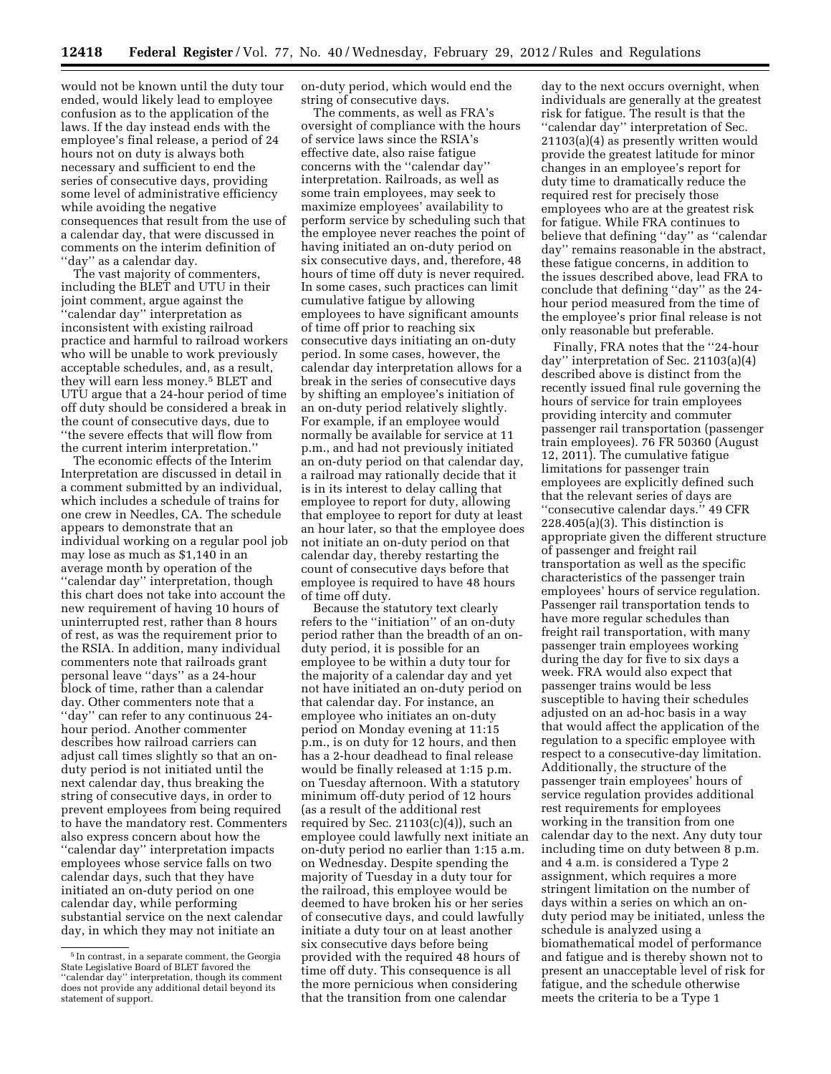would not be known until the duty tour ended, would likely lead to employee confusion as to the application of the laws. If the day instead ends with the employee's final release, a period of 24 hours not on duty is always both necessary and sufficient to end the series of consecutive days, providing some level of administrative efficiency while avoiding the negative consequences that result from the use of a calendar day, that were discussed in comments on the interim definition of ''day'' as a calendar day.

The vast majority of commenters, including the BLET and UTU in their joint comment, argue against the 'calendar day" interpretation as inconsistent with existing railroad practice and harmful to railroad workers who will be unable to work previously acceptable schedules, and, as a result, they will earn less money.5 BLET and UTU argue that a 24-hour period of time off duty should be considered a break in the count of consecutive days, due to ''the severe effects that will flow from the current interim interpretation.''

The economic effects of the Interim Interpretation are discussed in detail in a comment submitted by an individual, which includes a schedule of trains for one crew in Needles, CA. The schedule appears to demonstrate that an individual working on a regular pool job may lose as much as \$1,140 in an average month by operation of the ''calendar day'' interpretation, though this chart does not take into account the new requirement of having 10 hours of uninterrupted rest, rather than 8 hours of rest, as was the requirement prior to the RSIA. In addition, many individual commenters note that railroads grant personal leave ''days'' as a 24-hour block of time, rather than a calendar day. Other commenters note that a ''day'' can refer to any continuous 24 hour period. Another commenter describes how railroad carriers can adjust call times slightly so that an onduty period is not initiated until the next calendar day, thus breaking the string of consecutive days, in order to prevent employees from being required to have the mandatory rest. Commenters also express concern about how the ''calendar day'' interpretation impacts employees whose service falls on two calendar days, such that they have initiated an on-duty period on one calendar day, while performing substantial service on the next calendar day, in which they may not initiate an

on-duty period, which would end the string of consecutive days.

The comments, as well as FRA's oversight of compliance with the hours of service laws since the RSIA's effective date, also raise fatigue concerns with the ''calendar day'' interpretation. Railroads, as well as some train employees, may seek to maximize employees' availability to perform service by scheduling such that the employee never reaches the point of having initiated an on-duty period on six consecutive days, and, therefore, 48 hours of time off duty is never required. In some cases, such practices can limit cumulative fatigue by allowing employees to have significant amounts of time off prior to reaching six consecutive days initiating an on-duty period. In some cases, however, the calendar day interpretation allows for a break in the series of consecutive days by shifting an employee's initiation of an on-duty period relatively slightly. For example, if an employee would normally be available for service at 11 p.m., and had not previously initiated an on-duty period on that calendar day, a railroad may rationally decide that it is in its interest to delay calling that employee to report for duty, allowing that employee to report for duty at least an hour later, so that the employee does not initiate an on-duty period on that calendar day, thereby restarting the count of consecutive days before that employee is required to have 48 hours of time off duty.

Because the statutory text clearly refers to the ''initiation'' of an on-duty period rather than the breadth of an onduty period, it is possible for an employee to be within a duty tour for the majority of a calendar day and yet not have initiated an on-duty period on that calendar day. For instance, an employee who initiates an on-duty period on Monday evening at 11:15 p.m., is on duty for 12 hours, and then has a 2-hour deadhead to final release would be finally released at 1:15 p.m. on Tuesday afternoon. With a statutory minimum off-duty period of 12 hours (as a result of the additional rest required by Sec.  $21103(c)(4)$ , such an employee could lawfully next initiate an on-duty period no earlier than 1:15 a.m. on Wednesday. Despite spending the majority of Tuesday in a duty tour for the railroad, this employee would be deemed to have broken his or her series of consecutive days, and could lawfully initiate a duty tour on at least another six consecutive days before being provided with the required 48 hours of time off duty. This consequence is all the more pernicious when considering that the transition from one calendar

day to the next occurs overnight, when individuals are generally at the greatest risk for fatigue. The result is that the ''calendar day'' interpretation of Sec. 21103(a)(4) as presently written would provide the greatest latitude for minor changes in an employee's report for duty time to dramatically reduce the required rest for precisely those employees who are at the greatest risk for fatigue. While FRA continues to believe that defining ''day'' as ''calendar day'' remains reasonable in the abstract, these fatigue concerns, in addition to the issues described above, lead FRA to conclude that defining ''day'' as the 24 hour period measured from the time of the employee's prior final release is not only reasonable but preferable.

Finally, FRA notes that the ''24-hour day'' interpretation of Sec. 21103(a)(4) described above is distinct from the recently issued final rule governing the hours of service for train employees providing intercity and commuter passenger rail transportation (passenger train employees). 76 FR 50360 (August 12, 2011). The cumulative fatigue limitations for passenger train employees are explicitly defined such that the relevant series of days are ''consecutive calendar days.'' 49 CFR 228.405(a)(3). This distinction is appropriate given the different structure of passenger and freight rail transportation as well as the specific characteristics of the passenger train employees' hours of service regulation. Passenger rail transportation tends to have more regular schedules than freight rail transportation, with many passenger train employees working during the day for five to six days a week. FRA would also expect that passenger trains would be less susceptible to having their schedules adjusted on an ad-hoc basis in a way that would affect the application of the regulation to a specific employee with respect to a consecutive-day limitation. Additionally, the structure of the passenger train employees' hours of service regulation provides additional rest requirements for employees working in the transition from one calendar day to the next. Any duty tour including time on duty between 8 p.m. and 4 a.m. is considered a Type 2 assignment, which requires a more stringent limitation on the number of days within a series on which an onduty period may be initiated, unless the schedule is analyzed using a biomathematical model of performance and fatigue and is thereby shown not to present an unacceptable level of risk for fatigue, and the schedule otherwise meets the criteria to be a Type 1

<sup>5</sup> In contrast, in a separate comment, the Georgia State Legislative Board of BLET favored the ''calendar day'' interpretation, though its comment does not provide any additional detail beyond its statement of support.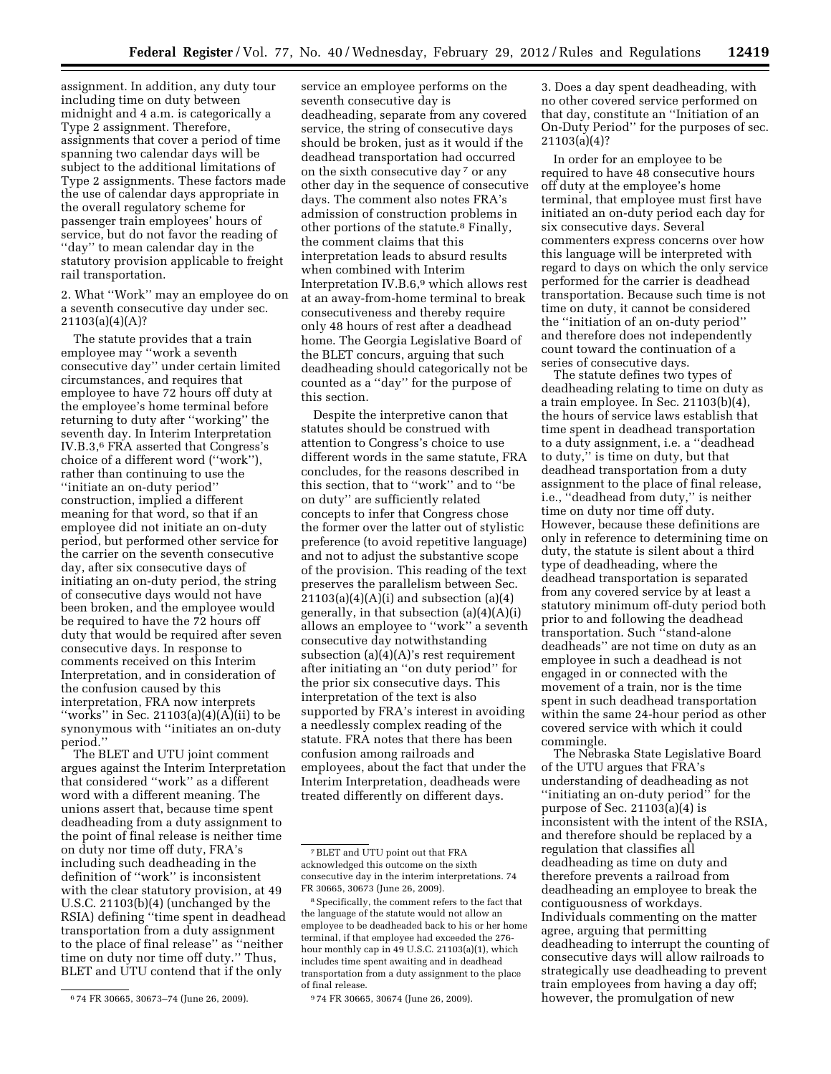assignment. In addition, any duty tour including time on duty between midnight and 4 a.m. is categorically a Type 2 assignment. Therefore, assignments that cover a period of time spanning two calendar days will be subject to the additional limitations of Type 2 assignments. These factors made the use of calendar days appropriate in the overall regulatory scheme for passenger train employees' hours of service, but do not favor the reading of ''day'' to mean calendar day in the statutory provision applicable to freight rail transportation.

2. What ''Work'' may an employee do on a seventh consecutive day under sec. 21103(a)(4)(A)?

The statute provides that a train employee may ''work a seventh consecutive day'' under certain limited circumstances, and requires that employee to have 72 hours off duty at the employee's home terminal before returning to duty after ''working'' the seventh day. In Interim Interpretation IV.B.3,6 FRA asserted that Congress's choice of a different word (''work''), rather than continuing to use the ''initiate an on-duty period'' construction, implied a different meaning for that word, so that if an employee did not initiate an on-duty period, but performed other service for the carrier on the seventh consecutive day, after six consecutive days of initiating an on-duty period, the string of consecutive days would not have been broken, and the employee would be required to have the 72 hours off duty that would be required after seven consecutive days. In response to comments received on this Interim Interpretation, and in consideration of the confusion caused by this interpretation, FRA now interprets "works" in Sec. 21103(a)(4)( $\overline{A}$ )(ii) to be synonymous with ''initiates an on-duty period.''

The BLET and UTU joint comment argues against the Interim Interpretation that considered ''work'' as a different word with a different meaning. The unions assert that, because time spent deadheading from a duty assignment to the point of final release is neither time on duty nor time off duty, FRA's including such deadheading in the definition of ''work'' is inconsistent with the clear statutory provision, at 49 U.S.C. 21103(b)(4) (unchanged by the RSIA) defining ''time spent in deadhead transportation from a duty assignment to the place of final release'' as ''neither time on duty nor time off duty.'' Thus, BLET and UTU contend that if the only

service an employee performs on the seventh consecutive day is deadheading, separate from any covered service, the string of consecutive days should be broken, just as it would if the deadhead transportation had occurred on the sixth consecutive day 7 or any other day in the sequence of consecutive days. The comment also notes FRA's admission of construction problems in other portions of the statute.8 Finally, the comment claims that this interpretation leads to absurd results when combined with Interim Interpretation IV.B.6,9 which allows rest at an away-from-home terminal to break consecutiveness and thereby require only 48 hours of rest after a deadhead home. The Georgia Legislative Board of the BLET concurs, arguing that such deadheading should categorically not be counted as a ''day'' for the purpose of this section.

Despite the interpretive canon that statutes should be construed with attention to Congress's choice to use different words in the same statute, FRA concludes, for the reasons described in this section, that to ''work'' and to ''be on duty'' are sufficiently related concepts to infer that Congress chose the former over the latter out of stylistic preference (to avoid repetitive language) and not to adjust the substantive scope of the provision. This reading of the text preserves the parallelism between Sec.  $21103(a)(4)(A)(i)$  and subsection  $(a)(4)$ generally, in that subsection (a)(4)(A)(i) allows an employee to ''work'' a seventh consecutive day notwithstanding subsection (a)(4)(A)'s rest requirement after initiating an ''on duty period'' for the prior six consecutive days. This interpretation of the text is also supported by FRA's interest in avoiding a needlessly complex reading of the statute. FRA notes that there has been confusion among railroads and employees, about the fact that under the Interim Interpretation, deadheads were treated differently on different days.

3. Does a day spent deadheading, with no other covered service performed on that day, constitute an ''Initiation of an On-Duty Period'' for the purposes of sec. 21103(a)(4)?

In order for an employee to be required to have 48 consecutive hours off duty at the employee's home terminal, that employee must first have initiated an on-duty period each day for six consecutive days. Several commenters express concerns over how this language will be interpreted with regard to days on which the only service performed for the carrier is deadhead transportation. Because such time is not time on duty, it cannot be considered the ''initiation of an on-duty period'' and therefore does not independently count toward the continuation of a series of consecutive days.

The statute defines two types of deadheading relating to time on duty as a train employee. In Sec. 21103(b)(4), the hours of service laws establish that time spent in deadhead transportation to a duty assignment, i.e. a ''deadhead to duty,'' is time on duty, but that deadhead transportation from a duty assignment to the place of final release, i.e., ''deadhead from duty,'' is neither time on duty nor time off duty. However, because these definitions are only in reference to determining time on duty, the statute is silent about a third type of deadheading, where the deadhead transportation is separated from any covered service by at least a statutory minimum off-duty period both prior to and following the deadhead transportation. Such ''stand-alone deadheads'' are not time on duty as an employee in such a deadhead is not engaged in or connected with the movement of a train, nor is the time spent in such deadhead transportation within the same 24-hour period as other covered service with which it could commingle.

The Nebraska State Legislative Board of the UTU argues that FRA's understanding of deadheading as not ''initiating an on-duty period'' for the purpose of Sec. 21103(a)(4) is inconsistent with the intent of the RSIA, and therefore should be replaced by a regulation that classifies all deadheading as time on duty and therefore prevents a railroad from deadheading an employee to break the contiguousness of workdays. Individuals commenting on the matter agree, arguing that permitting deadheading to interrupt the counting of consecutive days will allow railroads to strategically use deadheading to prevent train employees from having a day off; however, the promulgation of new

<sup>6</sup> 74 FR 30665, 30673–74 (June 26, 2009).

<sup>7</sup>BLET and UTU point out that FRA acknowledged this outcome on the sixth consecutive day in the interim interpretations. 74 FR 30665, 30673 (June 26, 2009).

<sup>8</sup>Specifically, the comment refers to the fact that the language of the statute would not allow an employee to be deadheaded back to his or her home terminal, if that employee had exceeded the 276 hour monthly cap in 49 U.S.C. 21103(a)(1), which includes time spent awaiting and in deadhead transportation from a duty assignment to the place of final release.

<sup>9</sup> 74 FR 30665, 30674 (June 26, 2009).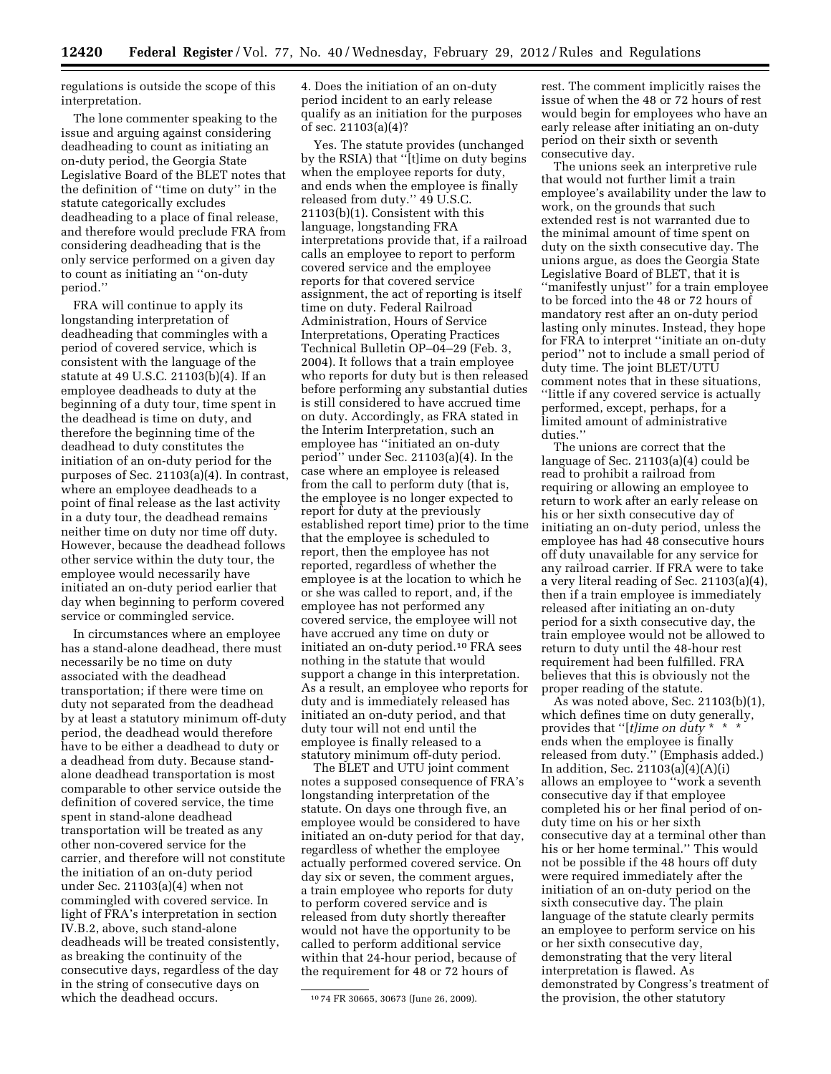regulations is outside the scope of this interpretation.

The lone commenter speaking to the issue and arguing against considering deadheading to count as initiating an on-duty period, the Georgia State Legislative Board of the BLET notes that the definition of ''time on duty'' in the statute categorically excludes deadheading to a place of final release, and therefore would preclude FRA from considering deadheading that is the only service performed on a given day to count as initiating an ''on-duty period.''

FRA will continue to apply its longstanding interpretation of deadheading that commingles with a period of covered service, which is consistent with the language of the statute at 49 U.S.C. 21103(b)(4). If an employee deadheads to duty at the beginning of a duty tour, time spent in the deadhead is time on duty, and therefore the beginning time of the deadhead to duty constitutes the initiation of an on-duty period for the purposes of Sec. 21103(a)(4). In contrast, where an employee deadheads to a point of final release as the last activity in a duty tour, the deadhead remains neither time on duty nor time off duty. However, because the deadhead follows other service within the duty tour, the employee would necessarily have initiated an on-duty period earlier that day when beginning to perform covered service or commingled service.

In circumstances where an employee has a stand-alone deadhead, there must necessarily be no time on duty associated with the deadhead transportation; if there were time on duty not separated from the deadhead by at least a statutory minimum off-duty period, the deadhead would therefore have to be either a deadhead to duty or a deadhead from duty. Because standalone deadhead transportation is most comparable to other service outside the definition of covered service, the time spent in stand-alone deadhead transportation will be treated as any other non-covered service for the carrier, and therefore will not constitute the initiation of an on-duty period under Sec. 21103(a)(4) when not commingled with covered service. In light of FRA's interpretation in section IV.B.2, above, such stand-alone deadheads will be treated consistently, as breaking the continuity of the consecutive days, regardless of the day in the string of consecutive days on which the deadhead occurs.

4. Does the initiation of an on-duty period incident to an early release qualify as an initiation for the purposes of sec. 21103(a)(4)?

Yes. The statute provides (unchanged by the RSIA) that ''[t]ime on duty begins when the employee reports for duty, and ends when the employee is finally released from duty.'' 49 U.S.C. 21103(b)(1). Consistent with this language, longstanding FRA interpretations provide that, if a railroad calls an employee to report to perform covered service and the employee reports for that covered service assignment, the act of reporting is itself time on duty. Federal Railroad Administration, Hours of Service Interpretations, Operating Practices Technical Bulletin OP–04–29 (Feb. 3, 2004). It follows that a train employee who reports for duty but is then released before performing any substantial duties is still considered to have accrued time on duty. Accordingly, as FRA stated in the Interim Interpretation, such an employee has ''initiated an on-duty period'' under Sec. 21103(a)(4). In the case where an employee is released from the call to perform duty (that is, the employee is no longer expected to report for duty at the previously established report time) prior to the time that the employee is scheduled to report, then the employee has not reported, regardless of whether the employee is at the location to which he or she was called to report, and, if the employee has not performed any covered service, the employee will not have accrued any time on duty or initiated an on-duty period.10 FRA sees nothing in the statute that would support a change in this interpretation. As a result, an employee who reports for duty and is immediately released has initiated an on-duty period, and that duty tour will not end until the employee is finally released to a statutory minimum off-duty period.

The BLET and UTU joint comment notes a supposed consequence of FRA's longstanding interpretation of the statute. On days one through five, an employee would be considered to have initiated an on-duty period for that day, regardless of whether the employee actually performed covered service. On day six or seven, the comment argues, a train employee who reports for duty to perform covered service and is released from duty shortly thereafter would not have the opportunity to be called to perform additional service within that 24-hour period, because of the requirement for 48 or 72 hours of

rest. The comment implicitly raises the issue of when the 48 or 72 hours of rest would begin for employees who have an early release after initiating an on-duty period on their sixth or seventh consecutive day.

The unions seek an interpretive rule that would not further limit a train employee's availability under the law to work, on the grounds that such extended rest is not warranted due to the minimal amount of time spent on duty on the sixth consecutive day. The unions argue, as does the Georgia State Legislative Board of BLET, that it is ''manifestly unjust'' for a train employee to be forced into the 48 or 72 hours of mandatory rest after an on-duty period lasting only minutes. Instead, they hope for FRA to interpret ''initiate an on-duty period'' not to include a small period of duty time. The joint BLET/UTU comment notes that in these situations, ''little if any covered service is actually performed, except, perhaps, for a limited amount of administrative duties.''

The unions are correct that the language of Sec. 21103(a)(4) could be read to prohibit a railroad from requiring or allowing an employee to return to work after an early release on his or her sixth consecutive day of initiating an on-duty period, unless the employee has had 48 consecutive hours off duty unavailable for any service for any railroad carrier. If FRA were to take a very literal reading of Sec. 21103(a)(4), then if a train employee is immediately released after initiating an on-duty period for a sixth consecutive day, the train employee would not be allowed to return to duty until the 48-hour rest requirement had been fulfilled. FRA believes that this is obviously not the proper reading of the statute.

As was noted above, Sec. 21103(b)(1), which defines time on duty generally, provides that ''[*t]ime on duty* \* \* \* ends when the employee is finally released from duty.'' (Emphasis added.) In addition, Sec. 21103(a)(4)(A)(i) allows an employee to ''work a seventh consecutive day if that employee completed his or her final period of onduty time on his or her sixth consecutive day at a terminal other than his or her home terminal.'' This would not be possible if the 48 hours off duty were required immediately after the initiation of an on-duty period on the sixth consecutive day. The plain language of the statute clearly permits an employee to perform service on his or her sixth consecutive day, demonstrating that the very literal interpretation is flawed. As demonstrated by Congress's treatment of the provision, the other statutory

<sup>10</sup> 74 FR 30665, 30673 (June 26, 2009).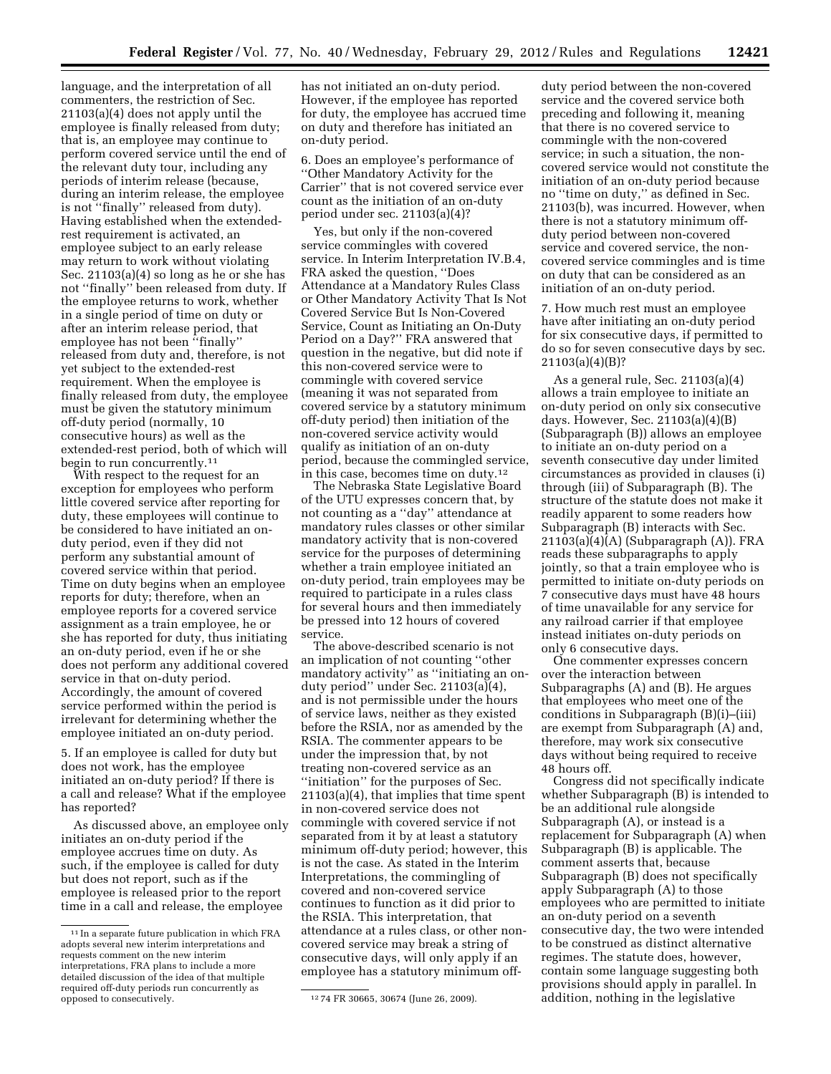language, and the interpretation of all commenters, the restriction of Sec. 21103(a)(4) does not apply until the employee is finally released from duty; that is, an employee may continue to perform covered service until the end of the relevant duty tour, including any periods of interim release (because, during an interim release, the employee is not ''finally'' released from duty). Having established when the extendedrest requirement is activated, an employee subject to an early release may return to work without violating Sec. 21103(a)(4) so long as he or she has not ''finally'' been released from duty. If the employee returns to work, whether in a single period of time on duty or after an interim release period, that employee has not been ''finally'' released from duty and, therefore, is not yet subject to the extended-rest requirement. When the employee is finally released from duty, the employee must be given the statutory minimum off-duty period (normally, 10 consecutive hours) as well as the extended-rest period, both of which will begin to run concurrently.<sup>11</sup>

With respect to the request for an exception for employees who perform little covered service after reporting for duty, these employees will continue to be considered to have initiated an onduty period, even if they did not perform any substantial amount of covered service within that period. Time on duty begins when an employee reports for duty; therefore, when an employee reports for a covered service assignment as a train employee, he or she has reported for duty, thus initiating an on-duty period, even if he or she does not perform any additional covered service in that on-duty period. Accordingly, the amount of covered service performed within the period is irrelevant for determining whether the employee initiated an on-duty period.

5. If an employee is called for duty but does not work, has the employee initiated an on-duty period? If there is a call and release? What if the employee has reported?

As discussed above, an employee only initiates an on-duty period if the employee accrues time on duty. As such, if the employee is called for duty but does not report, such as if the employee is released prior to the report time in a call and release, the employee

has not initiated an on-duty period. However, if the employee has reported for duty, the employee has accrued time on duty and therefore has initiated an on-duty period.

6. Does an employee's performance of ''Other Mandatory Activity for the Carrier'' that is not covered service ever count as the initiation of an on-duty period under sec. 21103(a)(4)?

Yes, but only if the non-covered service commingles with covered service. In Interim Interpretation IV.B.4, FRA asked the question, ''Does Attendance at a Mandatory Rules Class or Other Mandatory Activity That Is Not Covered Service But Is Non-Covered Service, Count as Initiating an On-Duty Period on a Day?'' FRA answered that question in the negative, but did note if this non-covered service were to commingle with covered service (meaning it was not separated from covered service by a statutory minimum off-duty period) then initiation of the non-covered service activity would qualify as initiation of an on-duty period, because the commingled service, in this case, becomes time on duty.12

The Nebraska State Legislative Board of the UTU expresses concern that, by not counting as a ''day'' attendance at mandatory rules classes or other similar mandatory activity that is non-covered service for the purposes of determining whether a train employee initiated an on-duty period, train employees may be required to participate in a rules class for several hours and then immediately be pressed into 12 hours of covered service.

The above-described scenario is not an implication of not counting ''other mandatory activity'' as ''initiating an onduty period'' under Sec. 21103(a)(4), and is not permissible under the hours of service laws, neither as they existed before the RSIA, nor as amended by the RSIA. The commenter appears to be under the impression that, by not treating non-covered service as an ''initiation'' for the purposes of Sec. 21103(a)(4), that implies that time spent in non-covered service does not commingle with covered service if not separated from it by at least a statutory minimum off-duty period; however, this is not the case. As stated in the Interim Interpretations, the commingling of covered and non-covered service continues to function as it did prior to the RSIA. This interpretation, that attendance at a rules class, or other noncovered service may break a string of consecutive days, will only apply if an employee has a statutory minimum off-

duty period between the non-covered service and the covered service both preceding and following it, meaning that there is no covered service to commingle with the non-covered service; in such a situation, the noncovered service would not constitute the initiation of an on-duty period because no ''time on duty,'' as defined in Sec. 21103(b), was incurred. However, when there is not a statutory minimum offduty period between non-covered service and covered service, the noncovered service commingles and is time on duty that can be considered as an initiation of an on-duty period.

7. How much rest must an employee have after initiating an on-duty period for six consecutive days, if permitted to do so for seven consecutive days by sec. 21103(a)(4)(B)?

As a general rule, Sec. 21103(a)(4) allows a train employee to initiate an on-duty period on only six consecutive days. However, Sec. 21103(a)(4)(B) (Subparagraph (B)) allows an employee to initiate an on-duty period on a seventh consecutive day under limited circumstances as provided in clauses (i) through (iii) of Subparagraph (B). The structure of the statute does not make it readily apparent to some readers how Subparagraph (B) interacts with Sec. 21103(a)(4)(A) (Subparagraph (A)). FRA reads these subparagraphs to apply jointly, so that a train employee who is permitted to initiate on-duty periods on 7 consecutive days must have 48 hours of time unavailable for any service for any railroad carrier if that employee instead initiates on-duty periods on only 6 consecutive days.

One commenter expresses concern over the interaction between Subparagraphs (A) and (B). He argues that employees who meet one of the conditions in Subparagraph (B)(i)–(iii) are exempt from Subparagraph (A) and, therefore, may work six consecutive days without being required to receive 48 hours off.

Congress did not specifically indicate whether Subparagraph (B) is intended to be an additional rule alongside Subparagraph (A), or instead is a replacement for Subparagraph (A) when Subparagraph (B) is applicable. The comment asserts that, because Subparagraph (B) does not specifically apply Subparagraph (A) to those employees who are permitted to initiate an on-duty period on a seventh consecutive day, the two were intended to be construed as distinct alternative regimes. The statute does, however, contain some language suggesting both provisions should apply in parallel. In addition, nothing in the legislative

<sup>11</sup> In a separate future publication in which FRA adopts several new interim interpretations and requests comment on the new interim interpretations, FRA plans to include a more detailed discussion of the idea of that multiple required off-duty periods run concurrently as

<sup>&</sup>lt;sup>12</sup> 74 FR 30665, 30674 (June 26, 2009).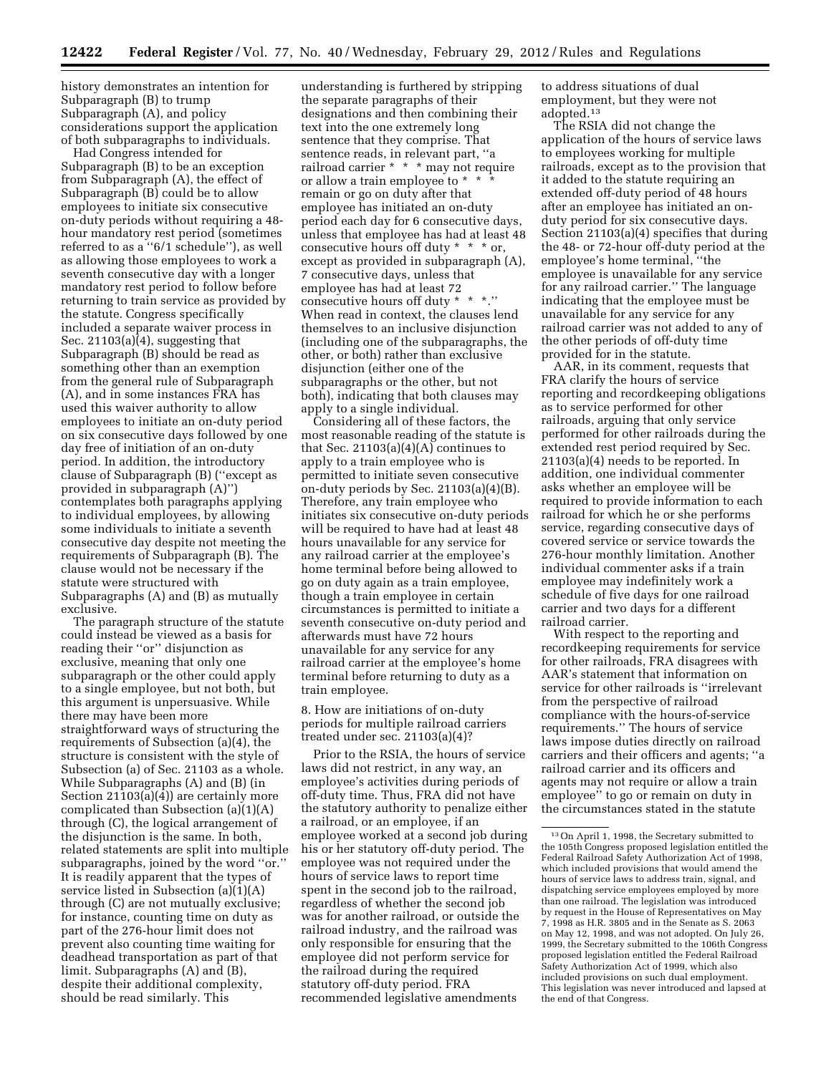history demonstrates an intention for Subparagraph (B) to trump Subparagraph (A), and policy considerations support the application of both subparagraphs to individuals. Had Congress intended for

Subparagraph (B) to be an exception from Subparagraph (A), the effect of Subparagraph (B) could be to allow employees to initiate six consecutive on-duty periods without requiring a 48 hour mandatory rest period (sometimes referred to as a ''6/1 schedule''), as well as allowing those employees to work a seventh consecutive day with a longer mandatory rest period to follow before returning to train service as provided by the statute. Congress specifically included a separate waiver process in Sec. 21103(a)(4), suggesting that Subparagraph (B) should be read as something other than an exemption from the general rule of Subparagraph (A), and in some instances FRA has used this waiver authority to allow employees to initiate an on-duty period on six consecutive days followed by one day free of initiation of an on-duty period. In addition, the introductory clause of Subparagraph (B) (''except as provided in subparagraph (A)'') contemplates both paragraphs applying to individual employees, by allowing some individuals to initiate a seventh consecutive day despite not meeting the requirements of Subparagraph (B). The clause would not be necessary if the statute were structured with Subparagraphs (A) and (B) as mutually exclusive.

The paragraph structure of the statute could instead be viewed as a basis for reading their ''or'' disjunction as exclusive, meaning that only one subparagraph or the other could apply to a single employee, but not both, but this argument is unpersuasive. While there may have been more straightforward ways of structuring the requirements of Subsection (a)(4), the structure is consistent with the style of Subsection (a) of Sec. 21103 as a whole. While Subparagraphs (A) and (B) (in Section 21103(a)(4)) are certainly more complicated than Subsection (a)(1)(A) through (C), the logical arrangement of the disjunction is the same. In both, related statements are split into multiple subparagraphs, joined by the word ''or.'' It is readily apparent that the types of service listed in Subsection (a)(1)(A) through (C) are not mutually exclusive; for instance, counting time on duty as part of the 276-hour limit does not prevent also counting time waiting for deadhead transportation as part of that limit. Subparagraphs (A) and (B), despite their additional complexity, should be read similarly. This

understanding is furthered by stripping the separate paragraphs of their designations and then combining their text into the one extremely long sentence that they comprise. That sentence reads, in relevant part, ''a railroad carrier \* \* \* may not require or allow a train employee to \* \* \* remain or go on duty after that employee has initiated an on-duty period each day for 6 consecutive days, unless that employee has had at least 48 consecutive hours off duty \* \* \* or, except as provided in subparagraph (A), 7 consecutive days, unless that employee has had at least 72 consecutive hours off duty \* \* \*.'' When read in context, the clauses lend themselves to an inclusive disjunction (including one of the subparagraphs, the other, or both) rather than exclusive disjunction (either one of the subparagraphs or the other, but not both), indicating that both clauses may apply to a single individual.

Considering all of these factors, the most reasonable reading of the statute is that Sec. 21103 $(a)(4)(A)$  continues to apply to a train employee who is permitted to initiate seven consecutive on-duty periods by Sec. 21103(a)(4)(B). Therefore, any train employee who initiates six consecutive on-duty periods will be required to have had at least 48 hours unavailable for any service for any railroad carrier at the employee's home terminal before being allowed to go on duty again as a train employee, though a train employee in certain circumstances is permitted to initiate a seventh consecutive on-duty period and afterwards must have 72 hours unavailable for any service for any railroad carrier at the employee's home terminal before returning to duty as a train employee.

8. How are initiations of on-duty periods for multiple railroad carriers treated under sec. 21103(a)(4)?

Prior to the RSIA, the hours of service laws did not restrict, in any way, an employee's activities during periods of off-duty time. Thus, FRA did not have the statutory authority to penalize either a railroad, or an employee, if an employee worked at a second job during his or her statutory off-duty period. The employee was not required under the hours of service laws to report time spent in the second job to the railroad, regardless of whether the second job was for another railroad, or outside the railroad industry, and the railroad was only responsible for ensuring that the employee did not perform service for the railroad during the required statutory off-duty period. FRA recommended legislative amendments

to address situations of dual employment, but they were not adopted.13

The RSIA did not change the application of the hours of service laws to employees working for multiple railroads, except as to the provision that it added to the statute requiring an extended off-duty period of 48 hours after an employee has initiated an onduty period for six consecutive days. Section 21103(a)(4) specifies that during the 48- or 72-hour off-duty period at the employee's home terminal, ''the employee is unavailable for any service for any railroad carrier.'' The language indicating that the employee must be unavailable for any service for any railroad carrier was not added to any of the other periods of off-duty time provided for in the statute.

AAR, in its comment, requests that FRA clarify the hours of service reporting and recordkeeping obligations as to service performed for other railroads, arguing that only service performed for other railroads during the extended rest period required by Sec. 21103(a)(4) needs to be reported. In addition, one individual commenter asks whether an employee will be required to provide information to each railroad for which he or she performs service, regarding consecutive days of covered service or service towards the 276-hour monthly limitation. Another individual commenter asks if a train employee may indefinitely work a schedule of five days for one railroad carrier and two days for a different railroad carrier.

With respect to the reporting and recordkeeping requirements for service for other railroads, FRA disagrees with AAR's statement that information on service for other railroads is ''irrelevant from the perspective of railroad compliance with the hours-of-service requirements.'' The hours of service laws impose duties directly on railroad carriers and their officers and agents; ''a railroad carrier and its officers and agents may not require or allow a train employee'' to go or remain on duty in the circumstances stated in the statute

<sup>13</sup>On April 1, 1998, the Secretary submitted to the 105th Congress proposed legislation entitled the Federal Railroad Safety Authorization Act of 1998, which included provisions that would amend the hours of service laws to address train, signal, and dispatching service employees employed by more than one railroad. The legislation was introduced by request in the House of Representatives on May 7, 1998 as H.R. 3805 and in the Senate as S. 2063 on May 12, 1998, and was not adopted. On July 26, 1999, the Secretary submitted to the 106th Congress proposed legislation entitled the Federal Railroad Safety Authorization Act of 1999, which also included provisions on such dual employment. This legislation was never introduced and lapsed at the end of that Congress.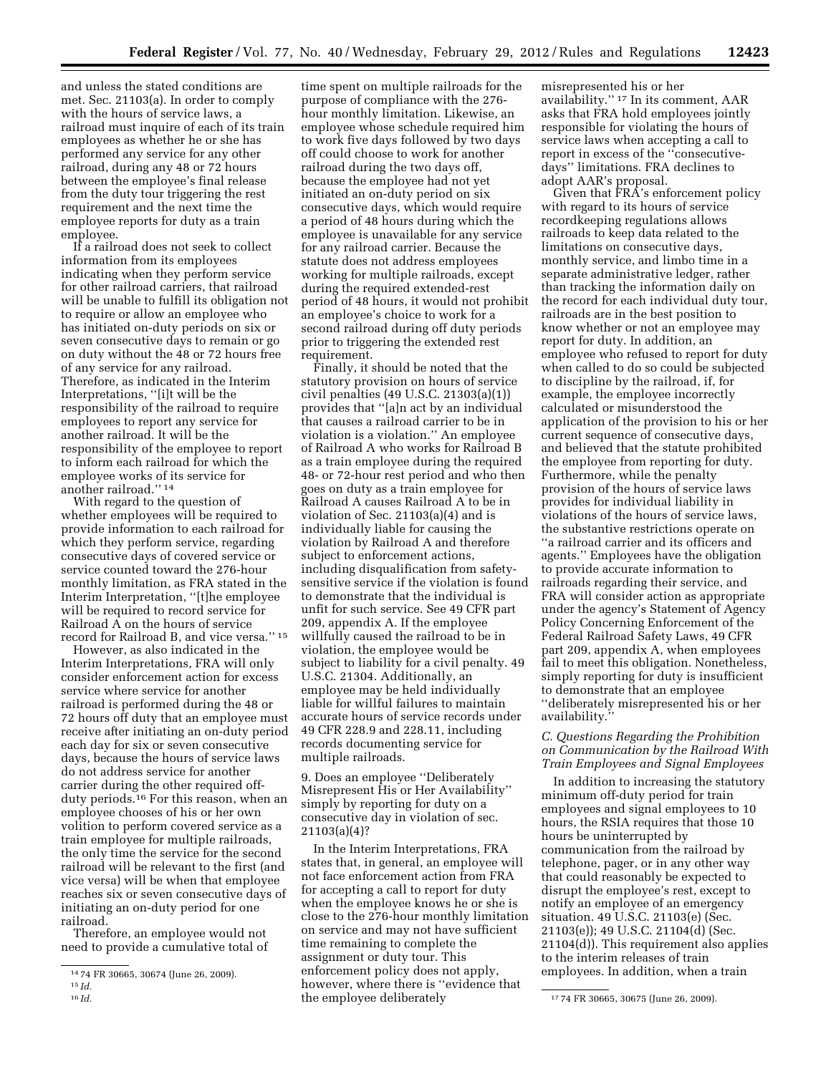and unless the stated conditions are met. Sec. 21103(a). In order to comply with the hours of service laws, a railroad must inquire of each of its train employees as whether he or she has performed any service for any other railroad, during any 48 or 72 hours between the employee's final release from the duty tour triggering the rest requirement and the next time the employee reports for duty as a train employee.

If a railroad does not seek to collect information from its employees indicating when they perform service for other railroad carriers, that railroad will be unable to fulfill its obligation not to require or allow an employee who has initiated on-duty periods on six or seven consecutive days to remain or go on duty without the 48 or 72 hours free of any service for any railroad. Therefore, as indicated in the Interim Interpretations, ''[i]t will be the responsibility of the railroad to require employees to report any service for another railroad. It will be the responsibility of the employee to report to inform each railroad for which the employee works of its service for another railroad.'' 14

With regard to the question of whether employees will be required to provide information to each railroad for which they perform service, regarding consecutive days of covered service or service counted toward the 276-hour monthly limitation, as FRA stated in the Interim Interpretation, ''[t]he employee will be required to record service for Railroad A on the hours of service record for Railroad B, and vice versa.'' 15

However, as also indicated in the Interim Interpretations, FRA will only consider enforcement action for excess service where service for another railroad is performed during the 48 or 72 hours off duty that an employee must receive after initiating an on-duty period each day for six or seven consecutive days, because the hours of service laws do not address service for another carrier during the other required offduty periods.16 For this reason, when an employee chooses of his or her own volition to perform covered service as a train employee for multiple railroads, the only time the service for the second railroad will be relevant to the first (and vice versa) will be when that employee reaches six or seven consecutive days of initiating an on-duty period for one railroad.

Therefore, an employee would not need to provide a cumulative total of

time spent on multiple railroads for the purpose of compliance with the 276 hour monthly limitation. Likewise, an employee whose schedule required him to work five days followed by two days off could choose to work for another railroad during the two days off, because the employee had not yet initiated an on-duty period on six consecutive days, which would require a period of 48 hours during which the employee is unavailable for any service for any railroad carrier. Because the statute does not address employees working for multiple railroads, except during the required extended-rest period of 48 hours, it would not prohibit an employee's choice to work for a second railroad during off duty periods prior to triggering the extended rest requirement.

Finally, it should be noted that the statutory provision on hours of service civil penalties (49 U.S.C. 21303(a)(1)) provides that ''[a]n act by an individual that causes a railroad carrier to be in violation is a violation.'' An employee of Railroad A who works for Railroad B as a train employee during the required 48- or 72-hour rest period and who then goes on duty as a train employee for Railroad A causes Railroad A to be in violation of Sec. 21103(a)(4) and is individually liable for causing the violation by Railroad A and therefore subject to enforcement actions, including disqualification from safetysensitive service if the violation is found to demonstrate that the individual is unfit for such service. See 49 CFR part 209, appendix A. If the employee willfully caused the railroad to be in violation, the employee would be subject to liability for a civil penalty. 49 U.S.C. 21304. Additionally, an employee may be held individually liable for willful failures to maintain accurate hours of service records under 49 CFR 228.9 and 228.11, including records documenting service for multiple railroads.

9. Does an employee ''Deliberately Misrepresent His or Her Availability'' simply by reporting for duty on a consecutive day in violation of sec.  $21103(a)(4)?$ 

In the Interim Interpretations, FRA states that, in general, an employee will not face enforcement action from FRA for accepting a call to report for duty when the employee knows he or she is close to the 276-hour monthly limitation on service and may not have sufficient time remaining to complete the assignment or duty tour. This enforcement policy does not apply, however, where there is ''evidence that the employee deliberately

misrepresented his or her availability.'' 17 In its comment, AAR asks that FRA hold employees jointly responsible for violating the hours of service laws when accepting a call to report in excess of the ''consecutivedays'' limitations. FRA declines to adopt AAR's proposal.

Given that FRA's enforcement policy with regard to its hours of service recordkeeping regulations allows railroads to keep data related to the limitations on consecutive days, monthly service, and limbo time in a separate administrative ledger, rather than tracking the information daily on the record for each individual duty tour, railroads are in the best position to know whether or not an employee may report for duty. In addition, an employee who refused to report for duty when called to do so could be subjected to discipline by the railroad, if, for example, the employee incorrectly calculated or misunderstood the application of the provision to his or her current sequence of consecutive days, and believed that the statute prohibited the employee from reporting for duty. Furthermore, while the penalty provision of the hours of service laws provides for individual liability in violations of the hours of service laws, the substantive restrictions operate on ''a railroad carrier and its officers and agents.'' Employees have the obligation to provide accurate information to railroads regarding their service, and FRA will consider action as appropriate under the agency's Statement of Agency Policy Concerning Enforcement of the Federal Railroad Safety Laws, 49 CFR part 209, appendix A, when employees fail to meet this obligation. Nonetheless, simply reporting for duty is insufficient to demonstrate that an employee ''deliberately misrepresented his or her availability.''

#### *C. Questions Regarding the Prohibition on Communication by the Railroad With Train Employees and Signal Employees*

In addition to increasing the statutory minimum off-duty period for train employees and signal employees to 10 hours, the RSIA requires that those 10 hours be uninterrupted by communication from the railroad by telephone, pager, or in any other way that could reasonably be expected to disrupt the employee's rest, except to notify an employee of an emergency situation. 49 U.S.C. 21103(e) (Sec. 21103(e)); 49 U.S.C. 21104(d) (Sec. 21104(d)). This requirement also applies to the interim releases of train employees. In addition, when a train

<sup>14</sup> 74 FR 30665, 30674 (June 26, 2009).

<sup>15</sup> *Id.* 

<sup>16</sup> *Id.* 17 74 FR 30665, 30675 (June 26, 2009).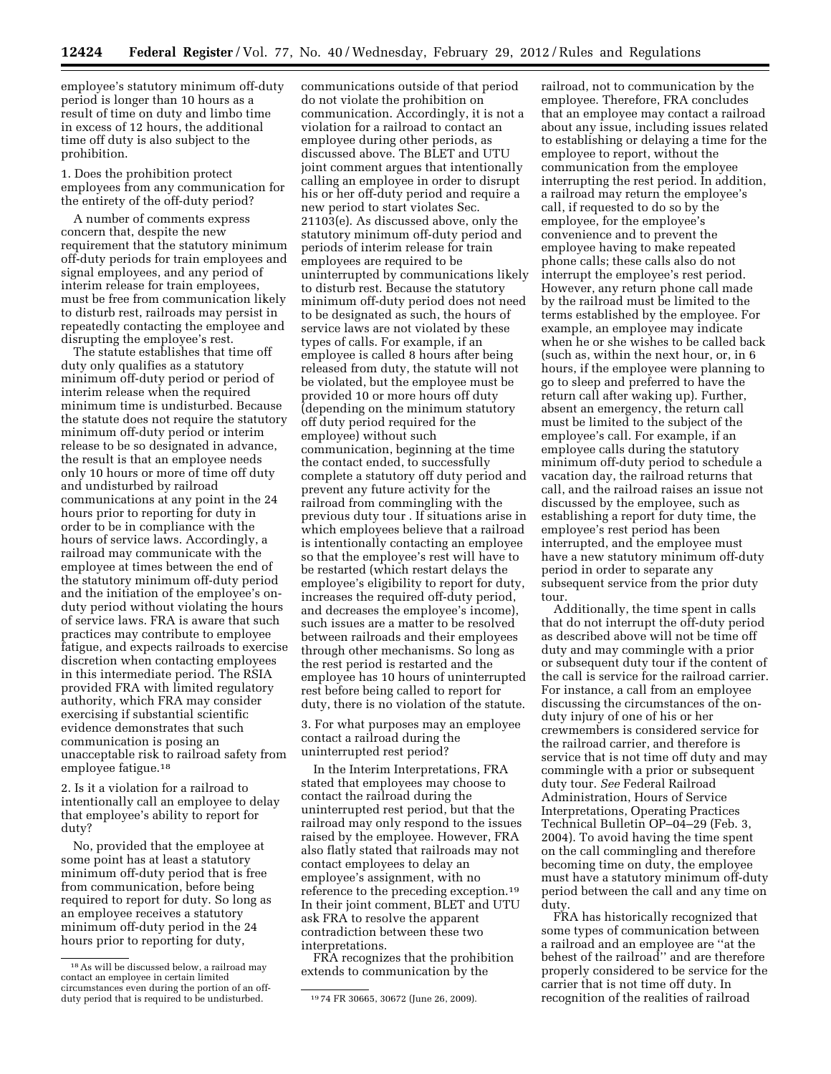employee's statutory minimum off-duty period is longer than 10 hours as a result of time on duty and limbo time in excess of 12 hours, the additional time off duty is also subject to the prohibition.

1. Does the prohibition protect employees from any communication for the entirety of the off-duty period?

A number of comments express concern that, despite the new requirement that the statutory minimum off-duty periods for train employees and signal employees, and any period of interim release for train employees, must be free from communication likely to disturb rest, railroads may persist in repeatedly contacting the employee and disrupting the employee's rest.

The statute establishes that time off duty only qualifies as a statutory minimum off-duty period or period of interim release when the required minimum time is undisturbed. Because the statute does not require the statutory minimum off-duty period or interim release to be so designated in advance, the result is that an employee needs only 10 hours or more of time off duty and undisturbed by railroad communications at any point in the 24 hours prior to reporting for duty in order to be in compliance with the hours of service laws. Accordingly, a railroad may communicate with the employee at times between the end of the statutory minimum off-duty period and the initiation of the employee's onduty period without violating the hours of service laws. FRA is aware that such practices may contribute to employee fatigue, and expects railroads to exercise discretion when contacting employees in this intermediate period. The RSIA provided FRA with limited regulatory authority, which FRA may consider exercising if substantial scientific evidence demonstrates that such communication is posing an unacceptable risk to railroad safety from employee fatigue.18

2. Is it a violation for a railroad to intentionally call an employee to delay that employee's ability to report for duty?

No, provided that the employee at some point has at least a statutory minimum off-duty period that is free from communication, before being required to report for duty. So long as an employee receives a statutory minimum off-duty period in the 24 hours prior to reporting for duty,

communications outside of that period do not violate the prohibition on communication. Accordingly, it is not a violation for a railroad to contact an employee during other periods, as discussed above. The BLET and UTU joint comment argues that intentionally calling an employee in order to disrupt his or her off-duty period and require a new period to start violates Sec. 21103(e). As discussed above, only the statutory minimum off-duty period and periods of interim release for train employees are required to be uninterrupted by communications likely to disturb rest. Because the statutory minimum off-duty period does not need to be designated as such, the hours of service laws are not violated by these types of calls. For example, if an employee is called 8 hours after being released from duty, the statute will not be violated, but the employee must be provided 10 or more hours off duty (depending on the minimum statutory off duty period required for the employee) without such communication, beginning at the time the contact ended, to successfully complete a statutory off duty period and prevent any future activity for the railroad from commingling with the previous duty tour . If situations arise in which employees believe that a railroad is intentionally contacting an employee so that the employee's rest will have to be restarted (which restart delays the employee's eligibility to report for duty, increases the required off-duty period, and decreases the employee's income), such issues are a matter to be resolved between railroads and their employees through other mechanisms. So long as the rest period is restarted and the employee has 10 hours of uninterrupted rest before being called to report for duty, there is no violation of the statute.

3. For what purposes may an employee contact a railroad during the uninterrupted rest period?

In the Interim Interpretations, FRA stated that employees may choose to contact the railroad during the uninterrupted rest period, but that the railroad may only respond to the issues raised by the employee. However, FRA also flatly stated that railroads may not contact employees to delay an employee's assignment, with no reference to the preceding exception.19 In their joint comment, BLET and UTU ask FRA to resolve the apparent contradiction between these two interpretations.

FRA recognizes that the prohibition extends to communication by the

railroad, not to communication by the employee. Therefore, FRA concludes that an employee may contact a railroad about any issue, including issues related to establishing or delaying a time for the employee to report, without the communication from the employee interrupting the rest period. In addition, a railroad may return the employee's call, if requested to do so by the employee, for the employee's convenience and to prevent the employee having to make repeated phone calls; these calls also do not interrupt the employee's rest period. However, any return phone call made by the railroad must be limited to the terms established by the employee. For example, an employee may indicate when he or she wishes to be called back (such as, within the next hour, or, in 6 hours, if the employee were planning to go to sleep and preferred to have the return call after waking up). Further, absent an emergency, the return call must be limited to the subject of the employee's call. For example, if an employee calls during the statutory minimum off-duty period to schedule a vacation day, the railroad returns that call, and the railroad raises an issue not discussed by the employee, such as establishing a report for duty time, the employee's rest period has been interrupted, and the employee must have a new statutory minimum off-duty period in order to separate any subsequent service from the prior duty tour.

Additionally, the time spent in calls that do not interrupt the off-duty period as described above will not be time off duty and may commingle with a prior or subsequent duty tour if the content of the call is service for the railroad carrier. For instance, a call from an employee discussing the circumstances of the onduty injury of one of his or her crewmembers is considered service for the railroad carrier, and therefore is service that is not time off duty and may commingle with a prior or subsequent duty tour. *See* Federal Railroad Administration, Hours of Service Interpretations, Operating Practices Technical Bulletin OP–04–29 (Feb. 3, 2004). To avoid having the time spent on the call commingling and therefore becoming time on duty, the employee must have a statutory minimum off-duty period between the call and any time on duty.

FRA has historically recognized that some types of communication between a railroad and an employee are ''at the behest of the railroad'' and are therefore properly considered to be service for the carrier that is not time off duty. In recognition of the realities of railroad

<sup>18</sup>As will be discussed below, a railroad may contact an employee in certain limited circumstances even during the portion of an offduty period that is required to be undisturbed. <sup>19</sup> 74 FR 30665, 30672 (June 26, 2009).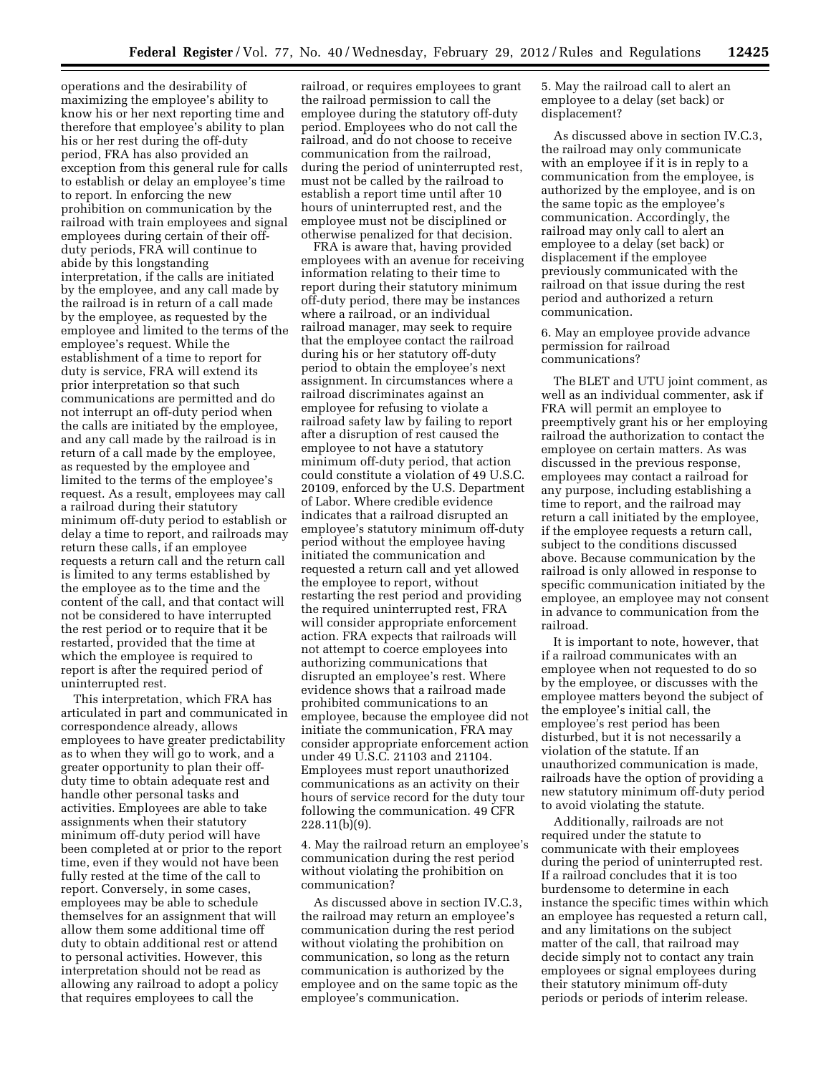operations and the desirability of maximizing the employee's ability to know his or her next reporting time and therefore that employee's ability to plan his or her rest during the off-duty period, FRA has also provided an exception from this general rule for calls to establish or delay an employee's time to report. In enforcing the new prohibition on communication by the railroad with train employees and signal employees during certain of their offduty periods, FRA will continue to abide by this longstanding interpretation, if the calls are initiated by the employee, and any call made by the railroad is in return of a call made by the employee, as requested by the employee and limited to the terms of the employee's request. While the establishment of a time to report for duty is service, FRA will extend its prior interpretation so that such communications are permitted and do not interrupt an off-duty period when the calls are initiated by the employee, and any call made by the railroad is in return of a call made by the employee, as requested by the employee and limited to the terms of the employee's request. As a result, employees may call a railroad during their statutory minimum off-duty period to establish or delay a time to report, and railroads may return these calls, if an employee requests a return call and the return call is limited to any terms established by the employee as to the time and the content of the call, and that contact will not be considered to have interrupted the rest period or to require that it be restarted, provided that the time at which the employee is required to report is after the required period of uninterrupted rest.

This interpretation, which FRA has articulated in part and communicated in correspondence already, allows employees to have greater predictability as to when they will go to work, and a greater opportunity to plan their offduty time to obtain adequate rest and handle other personal tasks and activities. Employees are able to take assignments when their statutory minimum off-duty period will have been completed at or prior to the report time, even if they would not have been fully rested at the time of the call to report. Conversely, in some cases, employees may be able to schedule themselves for an assignment that will allow them some additional time off duty to obtain additional rest or attend to personal activities. However, this interpretation should not be read as allowing any railroad to adopt a policy that requires employees to call the

railroad, or requires employees to grant the railroad permission to call the employee during the statutory off-duty period. Employees who do not call the railroad, and do not choose to receive communication from the railroad, during the period of uninterrupted rest, must not be called by the railroad to establish a report time until after 10 hours of uninterrupted rest, and the employee must not be disciplined or otherwise penalized for that decision.

FRA is aware that, having provided employees with an avenue for receiving information relating to their time to report during their statutory minimum off-duty period, there may be instances where a railroad, or an individual railroad manager, may seek to require that the employee contact the railroad during his or her statutory off-duty period to obtain the employee's next assignment. In circumstances where a railroad discriminates against an employee for refusing to violate a railroad safety law by failing to report after a disruption of rest caused the employee to not have a statutory minimum off-duty period, that action could constitute a violation of 49 U.S.C. 20109, enforced by the U.S. Department of Labor. Where credible evidence indicates that a railroad disrupted an employee's statutory minimum off-duty period without the employee having initiated the communication and requested a return call and yet allowed the employee to report, without restarting the rest period and providing the required uninterrupted rest, FRA will consider appropriate enforcement action. FRA expects that railroads will not attempt to coerce employees into authorizing communications that disrupted an employee's rest. Where evidence shows that a railroad made prohibited communications to an employee, because the employee did not initiate the communication, FRA may consider appropriate enforcement action under 49 U.S.C. 21103 and 21104. Employees must report unauthorized communications as an activity on their hours of service record for the duty tour following the communication. 49 CFR 228.11(b)(9).

4. May the railroad return an employee's communication during the rest period without violating the prohibition on communication?

As discussed above in section IV.C.3, the railroad may return an employee's communication during the rest period without violating the prohibition on communication, so long as the return communication is authorized by the employee and on the same topic as the employee's communication.

5. May the railroad call to alert an employee to a delay (set back) or displacement?

As discussed above in section IV.C.3, the railroad may only communicate with an employee if it is in reply to a communication from the employee, is authorized by the employee, and is on the same topic as the employee's communication. Accordingly, the railroad may only call to alert an employee to a delay (set back) or displacement if the employee previously communicated with the railroad on that issue during the rest period and authorized a return communication.

6. May an employee provide advance permission for railroad communications?

The BLET and UTU joint comment, as well as an individual commenter, ask if FRA will permit an employee to preemptively grant his or her employing railroad the authorization to contact the employee on certain matters. As was discussed in the previous response, employees may contact a railroad for any purpose, including establishing a time to report, and the railroad may return a call initiated by the employee, if the employee requests a return call, subject to the conditions discussed above. Because communication by the railroad is only allowed in response to specific communication initiated by the employee, an employee may not consent in advance to communication from the railroad.

It is important to note, however, that if a railroad communicates with an employee when not requested to do so by the employee, or discusses with the employee matters beyond the subject of the employee's initial call, the employee's rest period has been disturbed, but it is not necessarily a violation of the statute. If an unauthorized communication is made, railroads have the option of providing a new statutory minimum off-duty period to avoid violating the statute.

Additionally, railroads are not required under the statute to communicate with their employees during the period of uninterrupted rest. If a railroad concludes that it is too burdensome to determine in each instance the specific times within which an employee has requested a return call, and any limitations on the subject matter of the call, that railroad may decide simply not to contact any train employees or signal employees during their statutory minimum off-duty periods or periods of interim release.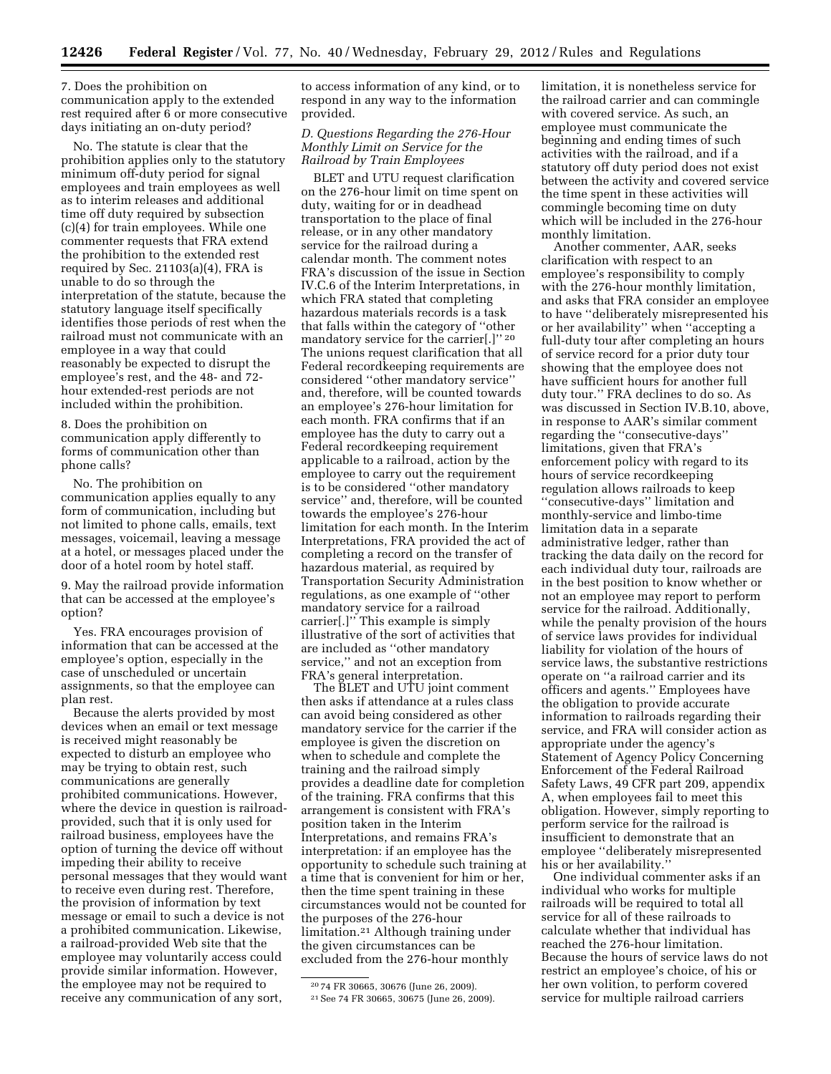7. Does the prohibition on communication apply to the extended rest required after 6 or more consecutive days initiating an on-duty period?

No. The statute is clear that the prohibition applies only to the statutory minimum off-duty period for signal employees and train employees as well as to interim releases and additional time off duty required by subsection (c)(4) for train employees. While one commenter requests that FRA extend the prohibition to the extended rest required by Sec.  $21103(a)(4)$ , FRA is unable to do so through the interpretation of the statute, because the statutory language itself specifically identifies those periods of rest when the railroad must not communicate with an employee in a way that could reasonably be expected to disrupt the employee's rest, and the 48- and 72 hour extended-rest periods are not included within the prohibition.

8. Does the prohibition on communication apply differently to forms of communication other than phone calls?

No. The prohibition on communication applies equally to any form of communication, including but not limited to phone calls, emails, text messages, voicemail, leaving a message at a hotel, or messages placed under the door of a hotel room by hotel staff.

9. May the railroad provide information that can be accessed at the employee's option?

Yes. FRA encourages provision of information that can be accessed at the employee's option, especially in the case of unscheduled or uncertain assignments, so that the employee can plan rest.

Because the alerts provided by most devices when an email or text message is received might reasonably be expected to disturb an employee who may be trying to obtain rest, such communications are generally prohibited communications. However, where the device in question is railroadprovided, such that it is only used for railroad business, employees have the option of turning the device off without impeding their ability to receive personal messages that they would want to receive even during rest. Therefore, the provision of information by text message or email to such a device is not a prohibited communication. Likewise, a railroad-provided Web site that the employee may voluntarily access could provide similar information. However, the employee may not be required to receive any communication of any sort,

to access information of any kind, or to respond in any way to the information provided.

## *D. Questions Regarding the 276-Hour Monthly Limit on Service for the Railroad by Train Employees*

BLET and UTU request clarification on the 276-hour limit on time spent on duty, waiting for or in deadhead transportation to the place of final release, or in any other mandatory service for the railroad during a calendar month. The comment notes FRA's discussion of the issue in Section IV.C.6 of the Interim Interpretations, in which FRA stated that completing hazardous materials records is a task that falls within the category of ''other mandatory service for the carrier[.]'' 20 The unions request clarification that all Federal recordkeeping requirements are considered ''other mandatory service'' and, therefore, will be counted towards an employee's 276-hour limitation for each month. FRA confirms that if an employee has the duty to carry out a Federal recordkeeping requirement applicable to a railroad, action by the employee to carry out the requirement is to be considered ''other mandatory service'' and, therefore, will be counted towards the employee's 276-hour limitation for each month. In the Interim Interpretations, FRA provided the act of completing a record on the transfer of hazardous material, as required by Transportation Security Administration regulations, as one example of ''other mandatory service for a railroad carrier[.]'' This example is simply illustrative of the sort of activities that are included as ''other mandatory service,'' and not an exception from FRA's general interpretation.

The BLET and UTU joint comment then asks if attendance at a rules class can avoid being considered as other mandatory service for the carrier if the employee is given the discretion on when to schedule and complete the training and the railroad simply provides a deadline date for completion of the training. FRA confirms that this arrangement is consistent with FRA's position taken in the Interim Interpretations, and remains FRA's interpretation: if an employee has the opportunity to schedule such training at a time that is convenient for him or her, then the time spent training in these circumstances would not be counted for the purposes of the 276-hour limitation.21 Although training under the given circumstances can be excluded from the 276-hour monthly

limitation, it is nonetheless service for the railroad carrier and can commingle with covered service. As such, an employee must communicate the beginning and ending times of such activities with the railroad, and if a statutory off duty period does not exist between the activity and covered service the time spent in these activities will commingle becoming time on duty which will be included in the 276-hour monthly limitation.

Another commenter, AAR, seeks clarification with respect to an employee's responsibility to comply with the 276-hour monthly limitation, and asks that FRA consider an employee to have ''deliberately misrepresented his or her availability'' when ''accepting a full-duty tour after completing an hours of service record for a prior duty tour showing that the employee does not have sufficient hours for another full duty tour.'' FRA declines to do so. As was discussed in Section IV.B.10, above, in response to AAR's similar comment regarding the ''consecutive-days'' limitations, given that FRA's enforcement policy with regard to its hours of service recordkeeping regulation allows railroads to keep ''consecutive-days'' limitation and monthly-service and limbo-time limitation data in a separate administrative ledger, rather than tracking the data daily on the record for each individual duty tour, railroads are in the best position to know whether or not an employee may report to perform service for the railroad. Additionally, while the penalty provision of the hours of service laws provides for individual liability for violation of the hours of service laws, the substantive restrictions operate on ''a railroad carrier and its officers and agents.'' Employees have the obligation to provide accurate information to railroads regarding their service, and FRA will consider action as appropriate under the agency's Statement of Agency Policy Concerning Enforcement of the Federal Railroad Safety Laws, 49 CFR part 209, appendix A, when employees fail to meet this obligation. However, simply reporting to perform service for the railroad is insufficient to demonstrate that an employee ''deliberately misrepresented his or her availability.

One individual commenter asks if an individual who works for multiple railroads will be required to total all service for all of these railroads to calculate whether that individual has reached the 276-hour limitation. Because the hours of service laws do not restrict an employee's choice, of his or her own volition, to perform covered service for multiple railroad carriers

<sup>20</sup> 74 FR 30665, 30676 (June 26, 2009). 21See 74 FR 30665, 30675 (June 26, 2009).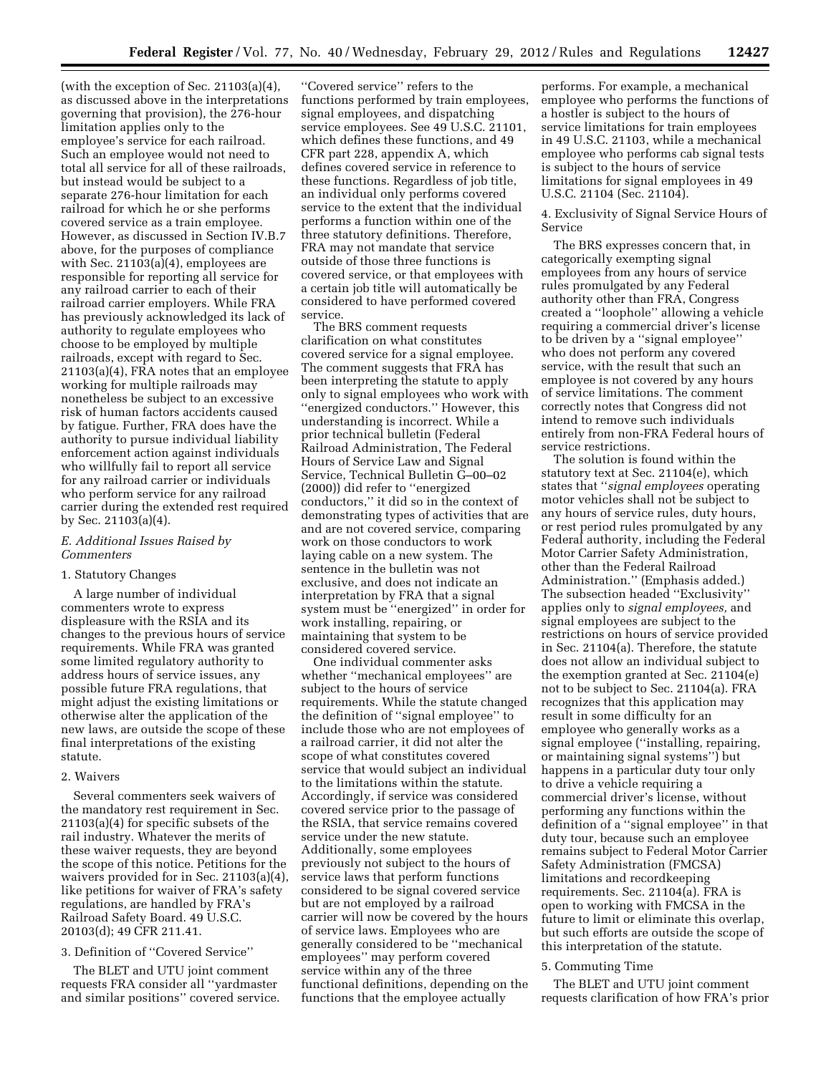(with the exception of Sec. 21103(a)(4), as discussed above in the interpretations governing that provision), the 276-hour limitation applies only to the employee's service for each railroad. Such an employee would not need to total all service for all of these railroads, but instead would be subject to a separate 276-hour limitation for each railroad for which he or she performs covered service as a train employee. However, as discussed in Section IV.B.7 above, for the purposes of compliance with Sec. 21103(a)(4), employees are responsible for reporting all service for any railroad carrier to each of their railroad carrier employers. While FRA has previously acknowledged its lack of authority to regulate employees who choose to be employed by multiple railroads, except with regard to Sec. 21103(a)(4), FRA notes that an employee working for multiple railroads may nonetheless be subject to an excessive risk of human factors accidents caused by fatigue. Further, FRA does have the authority to pursue individual liability enforcement action against individuals who willfully fail to report all service for any railroad carrier or individuals who perform service for any railroad carrier during the extended rest required by Sec. 21103(a)(4).

#### *E. Additional Issues Raised by Commenters*

#### 1. Statutory Changes

A large number of individual commenters wrote to express displeasure with the RSIA and its changes to the previous hours of service requirements. While FRA was granted some limited regulatory authority to address hours of service issues, any possible future FRA regulations, that might adjust the existing limitations or otherwise alter the application of the new laws, are outside the scope of these final interpretations of the existing statute.

#### 2. Waivers

Several commenters seek waivers of the mandatory rest requirement in Sec. 21103(a)(4) for specific subsets of the rail industry. Whatever the merits of these waiver requests, they are beyond the scope of this notice. Petitions for the waivers provided for in Sec. 21103(a)(4), like petitions for waiver of FRA's safety regulations, are handled by FRA's Railroad Safety Board. 49 U.S.C. 20103(d); 49 CFR 211.41.

## 3. Definition of ''Covered Service''

The BLET and UTU joint comment requests FRA consider all ''yardmaster and similar positions'' covered service.

''Covered service'' refers to the functions performed by train employees, signal employees, and dispatching service employees. See 49 U.S.C. 21101, which defines these functions, and 49 CFR part 228, appendix A, which defines covered service in reference to these functions. Regardless of job title, an individual only performs covered service to the extent that the individual performs a function within one of the three statutory definitions. Therefore, FRA may not mandate that service outside of those three functions is covered service, or that employees with a certain job title will automatically be considered to have performed covered service.

The BRS comment requests clarification on what constitutes covered service for a signal employee. The comment suggests that FRA has been interpreting the statute to apply only to signal employees who work with ''energized conductors.'' However, this understanding is incorrect. While a prior technical bulletin (Federal Railroad Administration, The Federal Hours of Service Law and Signal Service, Technical Bulletin G–00–02 (2000)) did refer to ''energized conductors,'' it did so in the context of demonstrating types of activities that are and are not covered service, comparing work on those conductors to work laying cable on a new system. The sentence in the bulletin was not exclusive, and does not indicate an interpretation by FRA that a signal system must be ''energized'' in order for work installing, repairing, or maintaining that system to be considered covered service.

One individual commenter asks whether ''mechanical employees'' are subject to the hours of service requirements. While the statute changed the definition of ''signal employee'' to include those who are not employees of a railroad carrier, it did not alter the scope of what constitutes covered service that would subject an individual to the limitations within the statute. Accordingly, if service was considered covered service prior to the passage of the RSIA, that service remains covered service under the new statute. Additionally, some employees previously not subject to the hours of service laws that perform functions considered to be signal covered service but are not employed by a railroad carrier will now be covered by the hours of service laws. Employees who are generally considered to be ''mechanical employees'' may perform covered service within any of the three functional definitions, depending on the functions that the employee actually

performs. For example, a mechanical employee who performs the functions of a hostler is subject to the hours of service limitations for train employees in 49 U.S.C. 21103, while a mechanical employee who performs cab signal tests is subject to the hours of service limitations for signal employees in 49 U.S.C. 21104 (Sec. 21104).

#### 4. Exclusivity of Signal Service Hours of Service

The BRS expresses concern that, in categorically exempting signal employees from any hours of service rules promulgated by any Federal authority other than FRA, Congress created a ''loophole'' allowing a vehicle requiring a commercial driver's license to be driven by a ''signal employee'' who does not perform any covered service, with the result that such an employee is not covered by any hours of service limitations. The comment correctly notes that Congress did not intend to remove such individuals entirely from non-FRA Federal hours of service restrictions.

The solution is found within the statutory text at Sec. 21104(e), which states that ''*signal employees* operating motor vehicles shall not be subject to any hours of service rules, duty hours, or rest period rules promulgated by any Federal authority, including the Federal Motor Carrier Safety Administration, other than the Federal Railroad Administration.'' (Emphasis added.) The subsection headed ''Exclusivity'' applies only to *signal employees,* and signal employees are subject to the restrictions on hours of service provided in Sec. 21104(a). Therefore, the statute does not allow an individual subject to the exemption granted at Sec. 21104(e) not to be subject to Sec. 21104(a). FRA recognizes that this application may result in some difficulty for an employee who generally works as a signal employee (''installing, repairing, or maintaining signal systems'') but happens in a particular duty tour only to drive a vehicle requiring a commercial driver's license, without performing any functions within the definition of a ''signal employee'' in that duty tour, because such an employee remains subject to Federal Motor Carrier Safety Administration (FMCSA) limitations and recordkeeping requirements. Sec. 21104(a). FRA is open to working with FMCSA in the future to limit or eliminate this overlap, but such efforts are outside the scope of this interpretation of the statute.

## 5. Commuting Time

The BLET and UTU joint comment requests clarification of how FRA's prior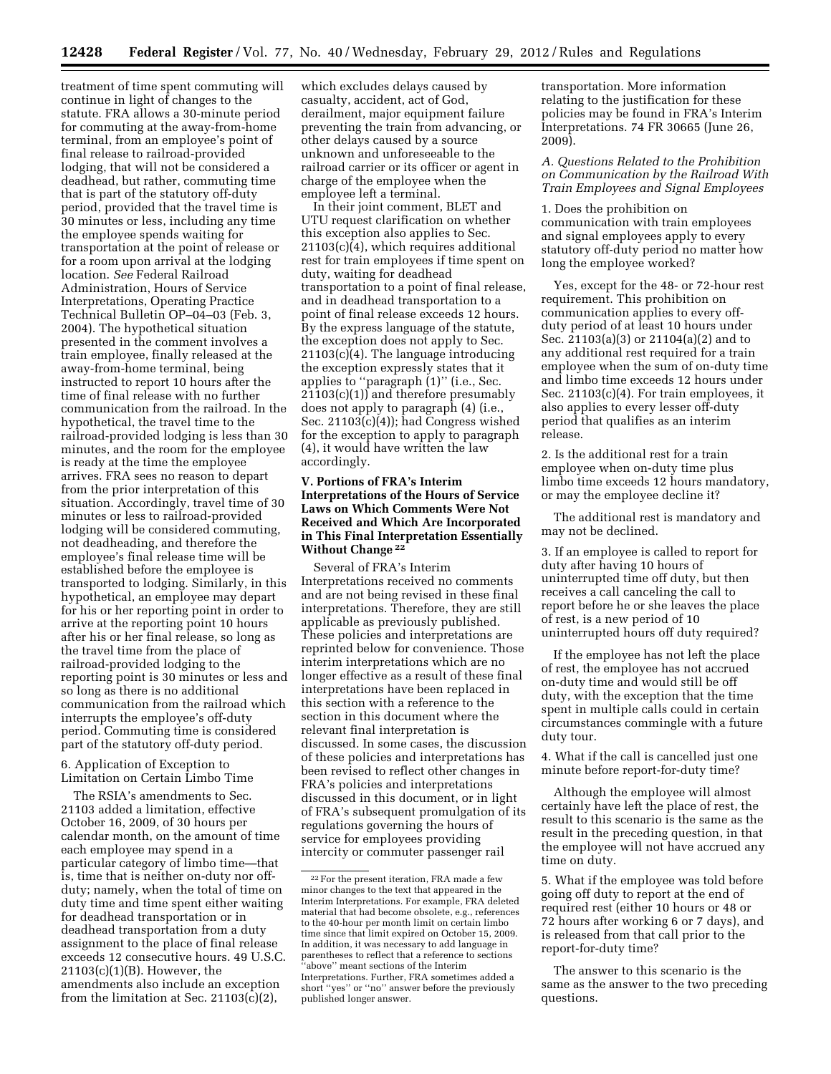treatment of time spent commuting will continue in light of changes to the statute. FRA allows a 30-minute period for commuting at the away-from-home terminal, from an employee's point of final release to railroad-provided lodging, that will not be considered a deadhead, but rather, commuting time that is part of the statutory off-duty period, provided that the travel time is 30 minutes or less, including any time the employee spends waiting for transportation at the point of release or for a room upon arrival at the lodging location. *See* Federal Railroad Administration, Hours of Service Interpretations, Operating Practice Technical Bulletin OP–04–03 (Feb. 3, 2004). The hypothetical situation presented in the comment involves a train employee, finally released at the away-from-home terminal, being instructed to report 10 hours after the time of final release with no further communication from the railroad. In the hypothetical, the travel time to the railroad-provided lodging is less than 30 minutes, and the room for the employee is ready at the time the employee arrives. FRA sees no reason to depart from the prior interpretation of this situation. Accordingly, travel time of 30 minutes or less to railroad-provided lodging will be considered commuting, not deadheading, and therefore the employee's final release time will be established before the employee is transported to lodging. Similarly, in this hypothetical, an employee may depart for his or her reporting point in order to arrive at the reporting point 10 hours after his or her final release, so long as the travel time from the place of railroad-provided lodging to the reporting point is 30 minutes or less and so long as there is no additional communication from the railroad which interrupts the employee's off-duty period. Commuting time is considered part of the statutory off-duty period.

6. Application of Exception to Limitation on Certain Limbo Time

The RSIA's amendments to Sec. 21103 added a limitation, effective October 16, 2009, of 30 hours per calendar month, on the amount of time each employee may spend in a particular category of limbo time—that is, time that is neither on-duty nor offduty; namely, when the total of time on duty time and time spent either waiting for deadhead transportation or in deadhead transportation from a duty assignment to the place of final release exceeds 12 consecutive hours. 49 U.S.C. 21103(c)(1)(B). However, the amendments also include an exception from the limitation at Sec. 21103(c)(2),

which excludes delays caused by casualty, accident, act of God, derailment, major equipment failure preventing the train from advancing, or other delays caused by a source unknown and unforeseeable to the railroad carrier or its officer or agent in charge of the employee when the employee left a terminal.

In their joint comment, BLET and UTU request clarification on whether this exception also applies to Sec. 21103(c)(4), which requires additional rest for train employees if time spent on duty, waiting for deadhead transportation to a point of final release, and in deadhead transportation to a point of final release exceeds 12 hours. By the express language of the statute, the exception does not apply to Sec. 21103(c)(4). The language introducing the exception expressly states that it applies to ''paragraph (1)'' (i.e., Sec. 21103(c)(1)) and therefore presumably does not apply to paragraph (4) (i.e., Sec. 21103(c)(4)); had Congress wished for the exception to apply to paragraph (4), it would have written the law accordingly.

## **V. Portions of FRA's Interim Interpretations of the Hours of Service Laws on Which Comments Were Not Received and Which Are Incorporated in This Final Interpretation Essentially Without Change 22**

Several of FRA's Interim Interpretations received no comments and are not being revised in these final interpretations. Therefore, they are still applicable as previously published. These policies and interpretations are reprinted below for convenience. Those interim interpretations which are no longer effective as a result of these final interpretations have been replaced in this section with a reference to the section in this document where the relevant final interpretation is discussed. In some cases, the discussion of these policies and interpretations has been revised to reflect other changes in FRA's policies and interpretations discussed in this document, or in light of FRA's subsequent promulgation of its regulations governing the hours of service for employees providing intercity or commuter passenger rail

transportation. More information relating to the justification for these policies may be found in FRA's Interim Interpretations. 74 FR 30665 (June 26, 2009).

*A. Questions Related to the Prohibition on Communication by the Railroad With Train Employees and Signal Employees* 

1. Does the prohibition on communication with train employees and signal employees apply to every statutory off-duty period no matter how long the employee worked?

Yes, except for the 48- or 72-hour rest requirement. This prohibition on communication applies to every offduty period of at least 10 hours under Sec. 21103(a)(3) or 21104(a)(2) and to any additional rest required for a train employee when the sum of on-duty time and limbo time exceeds 12 hours under Sec. 21103(c)(4). For train employees, it also applies to every lesser off-duty period that qualifies as an interim release.

2. Is the additional rest for a train employee when on-duty time plus limbo time exceeds 12 hours mandatory, or may the employee decline it?

The additional rest is mandatory and may not be declined.

3. If an employee is called to report for duty after having 10 hours of uninterrupted time off duty, but then receives a call canceling the call to report before he or she leaves the place of rest, is a new period of 10 uninterrupted hours off duty required?

If the employee has not left the place of rest, the employee has not accrued on-duty time and would still be off duty, with the exception that the time spent in multiple calls could in certain circumstances commingle with a future duty tour.

4. What if the call is cancelled just one minute before report-for-duty time?

Although the employee will almost certainly have left the place of rest, the result to this scenario is the same as the result in the preceding question, in that the employee will not have accrued any time on duty.

5. What if the employee was told before going off duty to report at the end of required rest (either 10 hours or 48 or 72 hours after working 6 or 7 days), and is released from that call prior to the report-for-duty time?

The answer to this scenario is the same as the answer to the two preceding questions.

 $\mathrm{^{22}For}$  the present iteration, FRA made a few minor changes to the text that appeared in the Interim Interpretations. For example, FRA deleted material that had become obsolete, e.g., references to the 40-hour per month limit on certain limbo time since that limit expired on October 15, 2009. In addition, it was necessary to add language in parentheses to reflect that a reference to sections ''above'' meant sections of the Interim Interpretations. Further, FRA sometimes added a short ''yes'' or ''no'' answer before the previously published longer answer.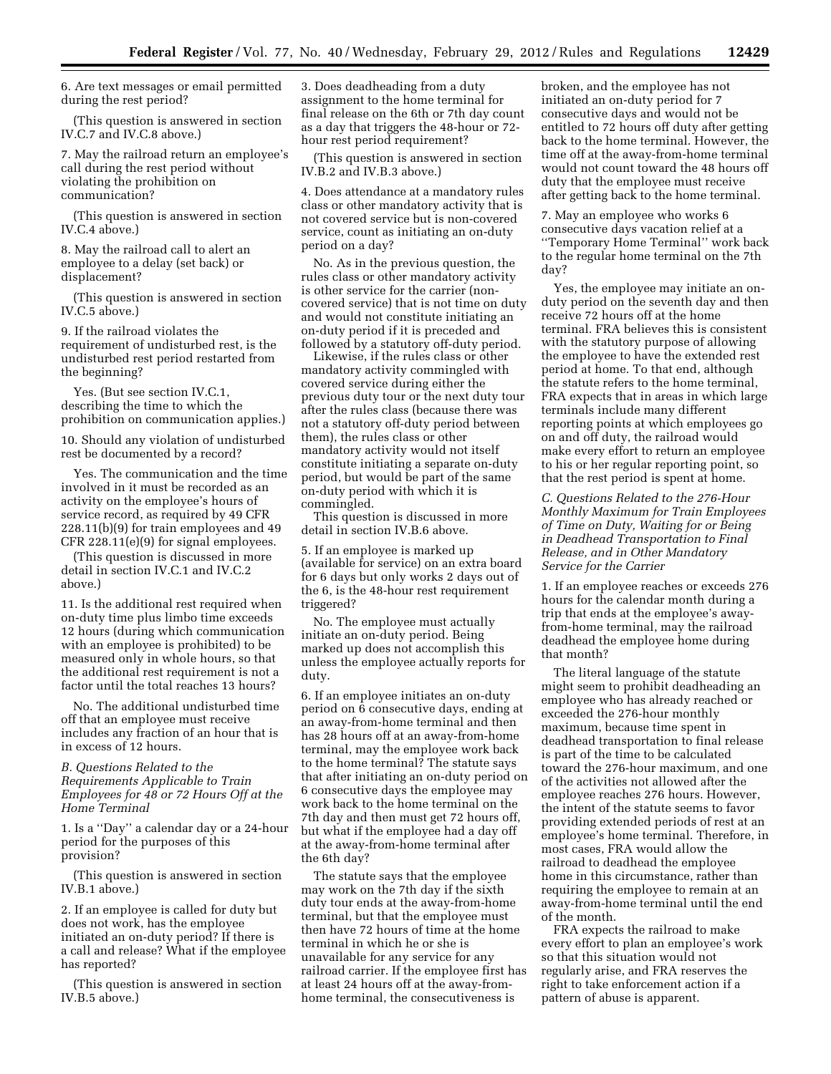6. Are text messages or email permitted during the rest period?

(This question is answered in section IV.C.7 and IV.C.8 above.)

7. May the railroad return an employee's call during the rest period without violating the prohibition on communication?

(This question is answered in section IV.C.4 above.)

8. May the railroad call to alert an employee to a delay (set back) or displacement?

(This question is answered in section IV.C.5 above.)

9. If the railroad violates the requirement of undisturbed rest, is the undisturbed rest period restarted from the beginning?

Yes. (But see section IV.C.1, describing the time to which the prohibition on communication applies.)

10. Should any violation of undisturbed rest be documented by a record?

Yes. The communication and the time involved in it must be recorded as an activity on the employee's hours of service record, as required by 49 CFR 228.11(b)(9) for train employees and 49 CFR 228.11(e)(9) for signal employees.

(This question is discussed in more detail in section IV.C.1 and IV.C.2 above.)

11. Is the additional rest required when on-duty time plus limbo time exceeds 12 hours (during which communication with an employee is prohibited) to be measured only in whole hours, so that the additional rest requirement is not a factor until the total reaches 13 hours?

No. The additional undisturbed time off that an employee must receive includes any fraction of an hour that is in excess of 12 hours.

*B. Questions Related to the Requirements Applicable to Train Employees for 48 or 72 Hours Off at the Home Terminal* 

1. Is a ''Day'' a calendar day or a 24-hour period for the purposes of this provision?

(This question is answered in section IV.B.1 above.)

2. If an employee is called for duty but does not work, has the employee initiated an on-duty period? If there is a call and release? What if the employee has reported?

(This question is answered in section IV.B.5 above.)

3. Does deadheading from a duty assignment to the home terminal for final release on the 6th or 7th day count as a day that triggers the 48-hour or 72 hour rest period requirement?

(This question is answered in section IV.B.2 and IV.B.3 above.)

4. Does attendance at a mandatory rules class or other mandatory activity that is not covered service but is non-covered service, count as initiating an on-duty period on a day?

No. As in the previous question, the rules class or other mandatory activity is other service for the carrier (noncovered service) that is not time on duty and would not constitute initiating an on-duty period if it is preceded and followed by a statutory off-duty period.

Likewise, if the rules class or other mandatory activity commingled with covered service during either the previous duty tour or the next duty tour after the rules class (because there was not a statutory off-duty period between them), the rules class or other mandatory activity would not itself constitute initiating a separate on-duty period, but would be part of the same on-duty period with which it is commingled.

This question is discussed in more detail in section IV.B.6 above.

5. If an employee is marked up (available for service) on an extra board for 6 days but only works 2 days out of the 6, is the 48-hour rest requirement triggered?

No. The employee must actually initiate an on-duty period. Being marked up does not accomplish this unless the employee actually reports for duty.

6. If an employee initiates an on-duty period on 6 consecutive days, ending at an away-from-home terminal and then has 28 hours off at an away-from-home terminal, may the employee work back to the home terminal? The statute says that after initiating an on-duty period on 6 consecutive days the employee may work back to the home terminal on the 7th day and then must get 72 hours off, but what if the employee had a day off at the away-from-home terminal after the 6th day?

The statute says that the employee may work on the 7th day if the sixth duty tour ends at the away-from-home terminal, but that the employee must then have 72 hours of time at the home terminal in which he or she is unavailable for any service for any railroad carrier. If the employee first has at least 24 hours off at the away-fromhome terminal, the consecutiveness is

broken, and the employee has not initiated an on-duty period for 7 consecutive days and would not be entitled to 72 hours off duty after getting back to the home terminal. However, the time off at the away-from-home terminal would not count toward the 48 hours off duty that the employee must receive after getting back to the home terminal.

7. May an employee who works 6 consecutive days vacation relief at a ''Temporary Home Terminal'' work back to the regular home terminal on the 7th day?

Yes, the employee may initiate an onduty period on the seventh day and then receive 72 hours off at the home terminal. FRA believes this is consistent with the statutory purpose of allowing the employee to have the extended rest period at home. To that end, although the statute refers to the home terminal, FRA expects that in areas in which large terminals include many different reporting points at which employees go on and off duty, the railroad would make every effort to return an employee to his or her regular reporting point, so that the rest period is spent at home.

*C. Questions Related to the 276-Hour Monthly Maximum for Train Employees of Time on Duty, Waiting for or Being in Deadhead Transportation to Final Release, and in Other Mandatory Service for the Carrier* 

1. If an employee reaches or exceeds 276 hours for the calendar month during a trip that ends at the employee's awayfrom-home terminal, may the railroad deadhead the employee home during that month?

The literal language of the statute might seem to prohibit deadheading an employee who has already reached or exceeded the 276-hour monthly maximum, because time spent in deadhead transportation to final release is part of the time to be calculated toward the 276-hour maximum, and one of the activities not allowed after the employee reaches 276 hours. However, the intent of the statute seems to favor providing extended periods of rest at an employee's home terminal. Therefore, in most cases, FRA would allow the railroad to deadhead the employee home in this circumstance, rather than requiring the employee to remain at an away-from-home terminal until the end of the month.

FRA expects the railroad to make every effort to plan an employee's work so that this situation would not regularly arise, and FRA reserves the right to take enforcement action if a pattern of abuse is apparent.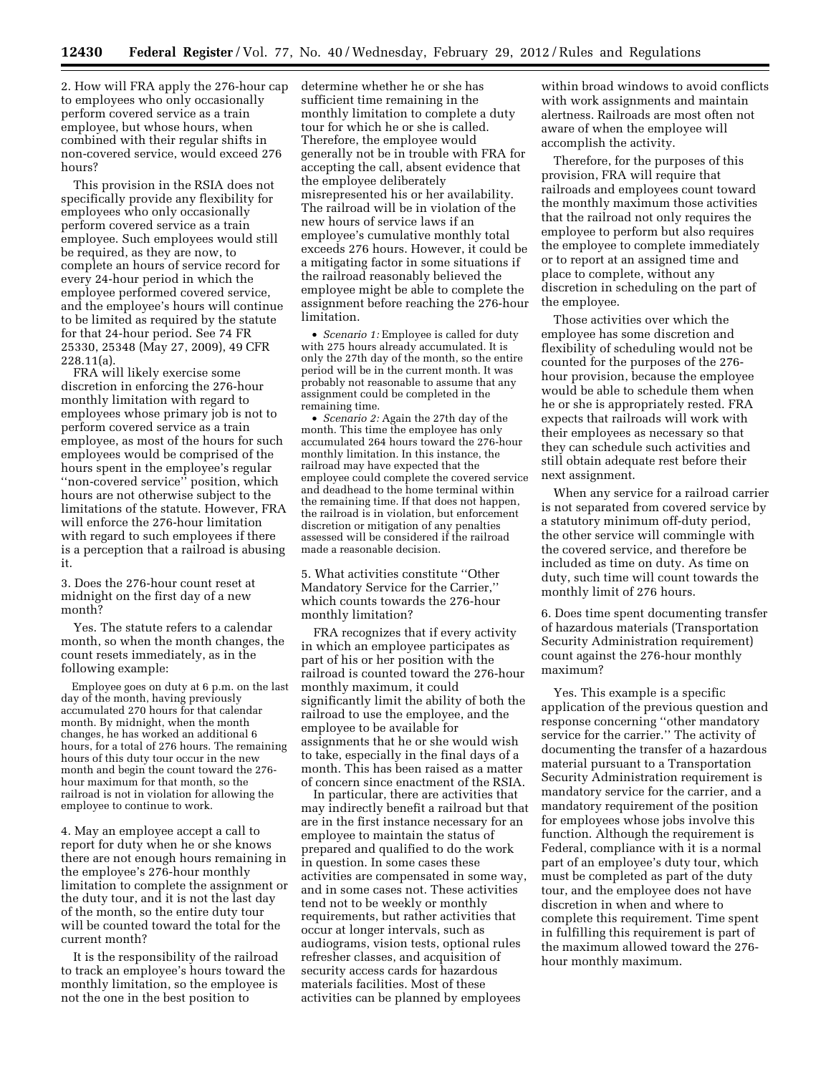2. How will FRA apply the 276-hour cap to employees who only occasionally perform covered service as a train employee, but whose hours, when combined with their regular shifts in non-covered service, would exceed 276 hours?

This provision in the RSIA does not specifically provide any flexibility for employees who only occasionally perform covered service as a train employee. Such employees would still be required, as they are now, to complete an hours of service record for every 24-hour period in which the employee performed covered service, and the employee's hours will continue to be limited as required by the statute for that 24-hour period. See 74 FR 25330, 25348 (May 27, 2009), 49 CFR 228.11(a).

FRA will likely exercise some discretion in enforcing the 276-hour monthly limitation with regard to employees whose primary job is not to perform covered service as a train employee, as most of the hours for such employees would be comprised of the hours spent in the employee's regular ''non-covered service'' position, which hours are not otherwise subject to the limitations of the statute. However, FRA will enforce the 276-hour limitation with regard to such employees if there is a perception that a railroad is abusing it.

3. Does the 276-hour count reset at midnight on the first day of a new month?

Yes. The statute refers to a calendar month, so when the month changes, the count resets immediately, as in the following example:

Employee goes on duty at 6 p.m. on the last day of the month, having previously accumulated 270 hours for that calendar month. By midnight, when the month changes, he has worked an additional 6 hours, for a total of 276 hours. The remaining hours of this duty tour occur in the new month and begin the count toward the 276 hour maximum for that month, so the railroad is not in violation for allowing the employee to continue to work.

4. May an employee accept a call to report for duty when he or she knows there are not enough hours remaining in the employee's 276-hour monthly limitation to complete the assignment or the duty tour, and it is not the last day of the month, so the entire duty tour will be counted toward the total for the current month?

It is the responsibility of the railroad to track an employee's hours toward the monthly limitation, so the employee is not the one in the best position to

determine whether he or she has sufficient time remaining in the monthly limitation to complete a duty tour for which he or she is called. Therefore, the employee would generally not be in trouble with FRA for accepting the call, absent evidence that the employee deliberately misrepresented his or her availability. The railroad will be in violation of the new hours of service laws if an employee's cumulative monthly total exceeds 276 hours. However, it could be a mitigating factor in some situations if the railroad reasonably believed the employee might be able to complete the assignment before reaching the 276-hour limitation.

• *Scenario 1:* Employee is called for duty with 275 hours already accumulated. It is only the 27th day of the month, so the entire period will be in the current month. It was probably not reasonable to assume that any assignment could be completed in the remaining time.

• *Scenario 2:* Again the 27th day of the month. This time the employee has only accumulated 264 hours toward the 276-hour monthly limitation. In this instance, the railroad may have expected that the employee could complete the covered service and deadhead to the home terminal within the remaining time. If that does not happen, the railroad is in violation, but enforcement discretion or mitigation of any penalties assessed will be considered if the railroad made a reasonable decision.

5. What activities constitute ''Other Mandatory Service for the Carrier,'' which counts towards the 276-hour monthly limitation?

FRA recognizes that if every activity in which an employee participates as part of his or her position with the railroad is counted toward the 276-hour monthly maximum, it could significantly limit the ability of both the railroad to use the employee, and the employee to be available for assignments that he or she would wish to take, especially in the final days of a month. This has been raised as a matter of concern since enactment of the RSIA.

In particular, there are activities that may indirectly benefit a railroad but that are in the first instance necessary for an employee to maintain the status of prepared and qualified to do the work in question. In some cases these activities are compensated in some way, and in some cases not. These activities tend not to be weekly or monthly requirements, but rather activities that occur at longer intervals, such as audiograms, vision tests, optional rules refresher classes, and acquisition of security access cards for hazardous materials facilities. Most of these activities can be planned by employees

within broad windows to avoid conflicts with work assignments and maintain alertness. Railroads are most often not aware of when the employee will accomplish the activity.

Therefore, for the purposes of this provision, FRA will require that railroads and employees count toward the monthly maximum those activities that the railroad not only requires the employee to perform but also requires the employee to complete immediately or to report at an assigned time and place to complete, without any discretion in scheduling on the part of the employee.

Those activities over which the employee has some discretion and flexibility of scheduling would not be counted for the purposes of the 276 hour provision, because the employee would be able to schedule them when he or she is appropriately rested. FRA expects that railroads will work with their employees as necessary so that they can schedule such activities and still obtain adequate rest before their next assignment.

When any service for a railroad carrier is not separated from covered service by a statutory minimum off-duty period, the other service will commingle with the covered service, and therefore be included as time on duty. As time on duty, such time will count towards the monthly limit of 276 hours.

6. Does time spent documenting transfer of hazardous materials (Transportation Security Administration requirement) count against the 276-hour monthly maximum?

Yes. This example is a specific application of the previous question and response concerning ''other mandatory service for the carrier.'' The activity of documenting the transfer of a hazardous material pursuant to a Transportation Security Administration requirement is mandatory service for the carrier, and a mandatory requirement of the position for employees whose jobs involve this function. Although the requirement is Federal, compliance with it is a normal part of an employee's duty tour, which must be completed as part of the duty tour, and the employee does not have discretion in when and where to complete this requirement. Time spent in fulfilling this requirement is part of the maximum allowed toward the 276 hour monthly maximum.